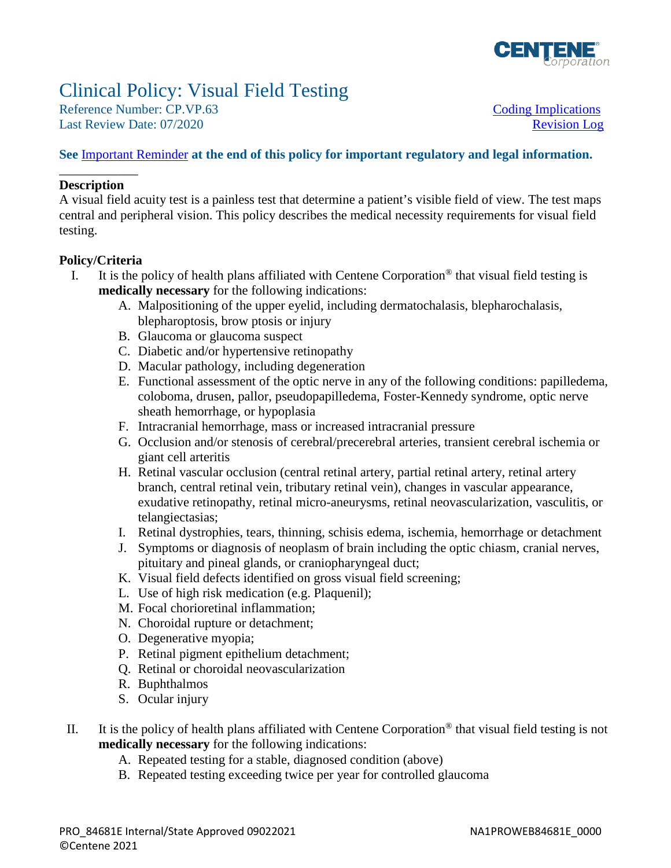

# Clinical Policy: Visual Field Testing

Reference Number: CP.VP.63 [Coding Implications](#page-1-0) Last Review Date: 07/2020

#### **See** [Important Reminder](#page-44-1) **at the end of this policy for important regulatory and legal information.**

#### \_\_\_\_\_\_\_\_\_\_\_\_ **Description**

A visual field acuity test is a painless test that determine a patient's visible field of view. The test maps central and peripheral vision. This policy describes the medical necessity requirements for visual field testing.

#### **Policy/Criteria**

- I. It is the policy of health plans affiliated with Centene Corporation<sup>®</sup> that visual field testing is **medically necessary** for the following indications:
	- A. Malpositioning of the upper eyelid, including dermatochalasis, blepharochalasis, blepharoptosis, brow ptosis or injury
	- B. Glaucoma or glaucoma suspect
	- C. Diabetic and/or hypertensive retinopathy
	- D. Macular pathology, including degeneration
	- E. Functional assessment of the optic nerve in any of the following conditions: papilledema, coloboma, drusen, pallor, pseudopapilledema, Foster-Kennedy syndrome, optic nerve sheath hemorrhage, or hypoplasia
	- F. Intracranial hemorrhage, mass or increased intracranial pressure
	- G. Occlusion and/or stenosis of cerebral/precerebral arteries, transient cerebral ischemia or giant cell arteritis
	- H. Retinal vascular occlusion (central retinal artery, partial retinal artery, retinal artery branch, central retinal vein, tributary retinal vein), changes in vascular appearance, exudative retinopathy, retinal micro-aneurysms, retinal neovascularization, vasculitis, or telangiectasias;
	- I. Retinal dystrophies, tears, thinning, schisis edema, ischemia, hemorrhage or detachment
	- J. Symptoms or diagnosis of neoplasm of brain including the optic chiasm, cranial nerves, pituitary and pineal glands, or craniopharyngeal duct;
	- K. Visual field defects identified on gross visual field screening;
	- L. Use of high risk medication (e.g. Plaquenil);
	- M. Focal chorioretinal inflammation;
	- N. Choroidal rupture or detachment;
	- O. Degenerative myopia;
	- P. Retinal pigment epithelium detachment;
	- Q. Retinal or choroidal neovascularization
	- R. Buphthalmos
	- S. Ocular injury
- II. It is the policy of health plans affiliated with Centene Corporation® that visual field testing is not **medically necessary** for the following indications:
	- A. Repeated testing for a stable, diagnosed condition (above)
	- B. Repeated testing exceeding twice per year for controlled glaucoma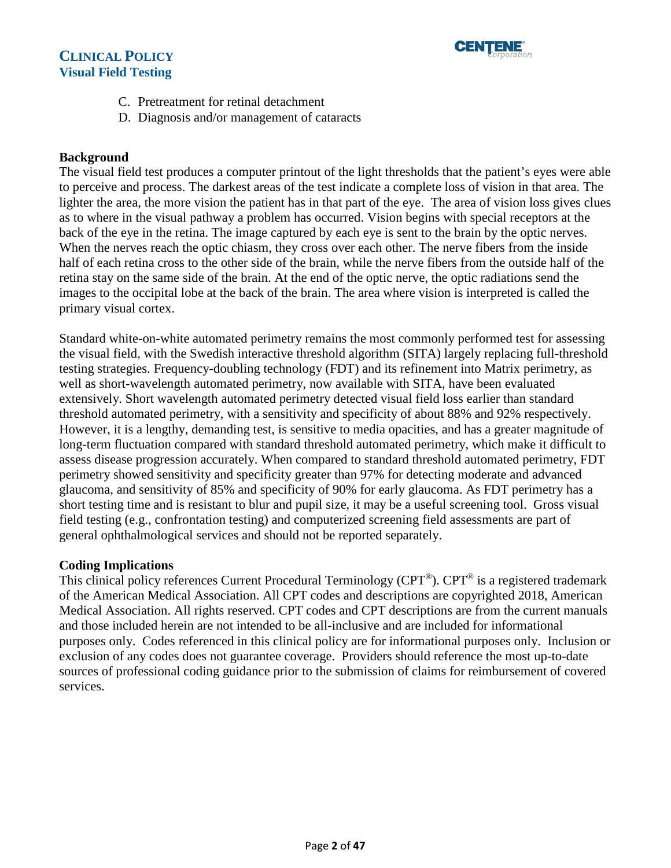



- C. Pretreatment for retinal detachment
- D. Diagnosis and/or management of cataracts

#### **Background**

The visual field test produces a computer printout of the light thresholds that the patient's eyes were able to perceive and process. The darkest areas of the test indicate a complete loss of vision in that area. The lighter the area, the more vision the patient has in that part of the eye. The area of vision loss gives clues as to where in the visual pathway a problem has occurred. Vision begins with special receptors at the back of the eye in the retina. The image captured by each eye is sent to the brain by the optic nerves. When the nerves reach the optic chiasm, they cross over each other. The nerve fibers from the inside half of each retina cross to the other side of the brain, while the nerve fibers from the outside half of the retina stay on the same side of the brain. At the end of the optic nerve, the optic radiations send the images to the occipital lobe at the back of the brain. The area where vision is interpreted is called the primary visual cortex.

Standard white-on-white automated perimetry remains the most commonly performed test for assessing the visual field, with the Swedish interactive threshold algorithm (SITA) largely replacing full-threshold testing strategies. Frequency-doubling technology (FDT) and its refinement into Matrix perimetry, as well as short-wavelength automated perimetry, now available with SITA, have been evaluated extensively. Short wavelength automated perimetry detected visual field loss earlier than standard threshold automated perimetry, with a sensitivity and specificity of about 88% and 92% respectively. However, it is a lengthy, demanding test, is sensitive to media opacities, and has a greater magnitude of long-term fluctuation compared with standard threshold automated perimetry, which make it difficult to assess disease progression accurately. When compared to standard threshold automated perimetry, FDT perimetry showed sensitivity and specificity greater than 97% for detecting moderate and advanced glaucoma, and sensitivity of 85% and specificity of 90% for early glaucoma. As FDT perimetry has a short testing time and is resistant to blur and pupil size, it may be a useful screening tool. Gross visual field testing (e.g., confrontation testing) and computerized screening field assessments are part of general ophthalmological services and should not be reported separately.

#### <span id="page-1-0"></span>**Coding Implications**

This clinical policy references Current Procedural Terminology (CPT®). CPT® is a registered trademark of the American Medical Association. All CPT codes and descriptions are copyrighted 2018, American Medical Association. All rights reserved. CPT codes and CPT descriptions are from the current manuals and those included herein are not intended to be all-inclusive and are included for informational purposes only. Codes referenced in this clinical policy are for informational purposes only. Inclusion or exclusion of any codes does not guarantee coverage. Providers should reference the most up-to-date sources of professional coding guidance prior to the submission of claims for reimbursement of covered services.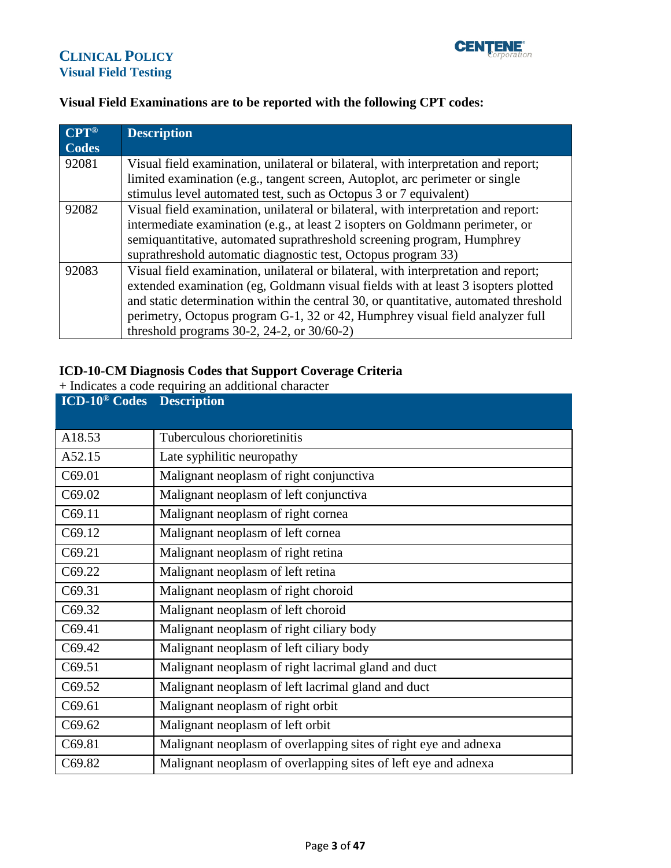

#### **Visual Field Examinations are to be reported with the following CPT codes:**

| $\mathbf{CPT}^{\circledR}$ | <b>Description</b>                                                                   |
|----------------------------|--------------------------------------------------------------------------------------|
| <b>Codes</b>               |                                                                                      |
| 92081                      | Visual field examination, unilateral or bilateral, with interpretation and report;   |
|                            | limited examination (e.g., tangent screen, Autoplot, arc perimeter or single         |
|                            | stimulus level automated test, such as Octopus 3 or 7 equivalent)                    |
| 92082                      | Visual field examination, unilateral or bilateral, with interpretation and report:   |
|                            | intermediate examination (e.g., at least 2 isopters on Goldmann perimeter, or        |
|                            | semiquantitative, automated suprathreshold screening program, Humphrey               |
|                            | suprathreshold automatic diagnostic test, Octopus program 33)                        |
| 92083                      | Visual field examination, unilateral or bilateral, with interpretation and report;   |
|                            | extended examination (eg, Goldmann visual fields with at least 3 isopters plotted    |
|                            | and static determination within the central 30, or quantitative, automated threshold |
|                            | perimetry, Octopus program G-1, 32 or 42, Humphrey visual field analyzer full        |
|                            | threshold programs $30-2$ , $24-2$ , or $30/60-2$ )                                  |

# **ICD-10-CM Diagnosis Codes that Support Coverage Criteria**

+ Indicates a code requiring an additional character

| <b>ICD-10<sup>®</sup> Codes</b> | <b>Description</b>                                              |
|---------------------------------|-----------------------------------------------------------------|
| A18.53                          | Tuberculous chorioretinitis                                     |
| A52.15                          | Late syphilitic neuropathy                                      |
| C69.01                          | Malignant neoplasm of right conjunctiva                         |
| C69.02                          | Malignant neoplasm of left conjunctiva                          |
| C69.11                          | Malignant neoplasm of right cornea                              |
| C69.12                          | Malignant neoplasm of left cornea                               |
| C69.21                          | Malignant neoplasm of right retina                              |
| C69.22                          | Malignant neoplasm of left retina                               |
| C69.31                          | Malignant neoplasm of right choroid                             |
| C69.32                          | Malignant neoplasm of left choroid                              |
| C69.41                          | Malignant neoplasm of right ciliary body                        |
| C69.42                          | Malignant neoplasm of left ciliary body                         |
| C69.51                          | Malignant neoplasm of right lacrimal gland and duct             |
| C69.52                          | Malignant neoplasm of left lacrimal gland and duct              |
| C69.61                          | Malignant neoplasm of right orbit                               |
| C69.62                          | Malignant neoplasm of left orbit                                |
| C69.81                          | Malignant neoplasm of overlapping sites of right eye and adnexa |
| C69.82                          | Malignant neoplasm of overlapping sites of left eye and adnexa  |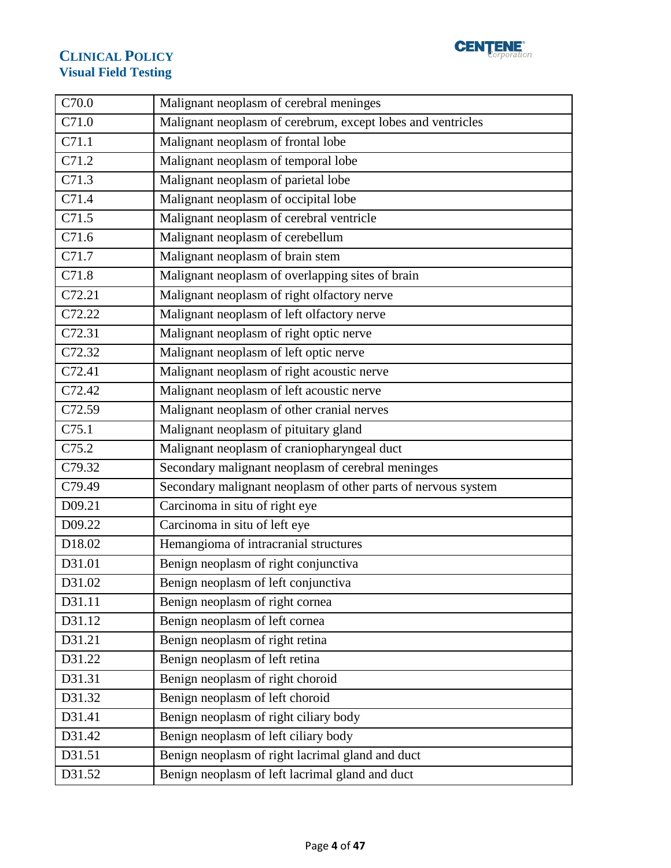

| C70.0               | Malignant neoplasm of cerebral meninges                                                             |
|---------------------|-----------------------------------------------------------------------------------------------------|
| C71.0               | Malignant neoplasm of cerebrum, except lobes and ventricles                                         |
| C71.1               | Malignant neoplasm of frontal lobe                                                                  |
| C71.2               | Malignant neoplasm of temporal lobe                                                                 |
| C71.3               | Malignant neoplasm of parietal lobe                                                                 |
| C71.4               | Malignant neoplasm of occipital lobe                                                                |
| $\overline{C7}$ 1.5 | Malignant neoplasm of cerebral ventricle                                                            |
| C71.6               | Malignant neoplasm of cerebellum                                                                    |
| C71.7               | Malignant neoplasm of brain stem                                                                    |
| C71.8               | Malignant neoplasm of overlapping sites of brain                                                    |
| C72.21              | Malignant neoplasm of right olfactory nerve                                                         |
| C72.22              | Malignant neoplasm of left olfactory nerve                                                          |
| C72.31              | Malignant neoplasm of right optic nerve                                                             |
| C72.32              | Malignant neoplasm of left optic nerve                                                              |
| C72.41              | Malignant neoplasm of right acoustic nerve                                                          |
| C72.42              | Malignant neoplasm of left acoustic nerve                                                           |
| C72.59              | Malignant neoplasm of other cranial nerves                                                          |
| C75.1               | Malignant neoplasm of pituitary gland                                                               |
| C75.2               | Malignant neoplasm of craniopharyngeal duct                                                         |
| C79.32              | Secondary malignant neoplasm of cerebral meninges                                                   |
|                     |                                                                                                     |
| C79.49              | Secondary malignant neoplasm of other parts of nervous system                                       |
| D09.21              | Carcinoma in situ of right eye                                                                      |
| D09.22              | Carcinoma in situ of left eye                                                                       |
| D18.02              | Hemangioma of intracranial structures                                                               |
| D31.01              | Benign neoplasm of right conjunctiva                                                                |
| D31.02              | Benign neoplasm of left conjunctiva                                                                 |
| D31.11              | Benign neoplasm of right cornea                                                                     |
| D31.12              | Benign neoplasm of left cornea                                                                      |
| D31.21              | Benign neoplasm of right retina                                                                     |
| D31.22              | Benign neoplasm of left retina                                                                      |
| D31.31              | Benign neoplasm of right choroid                                                                    |
| D31.32              | Benign neoplasm of left choroid                                                                     |
| D31.41              | Benign neoplasm of right ciliary body                                                               |
| D31.42              | Benign neoplasm of left ciliary body                                                                |
| D31.51              | Benign neoplasm of right lacrimal gland and duct<br>Benign neoplasm of left lacrimal gland and duct |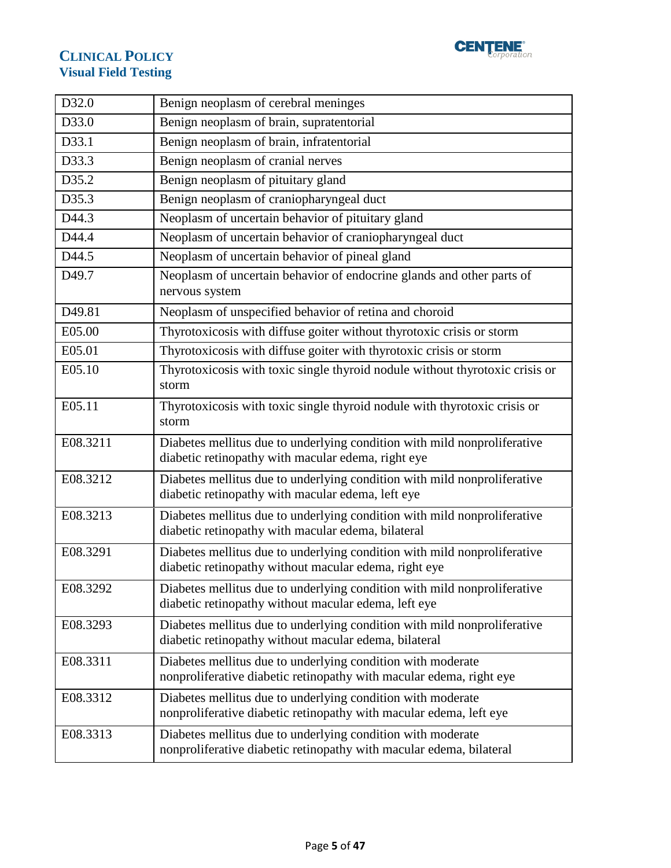

| D32.0    | Benign neoplasm of cerebral meninges                                                                                               |
|----------|------------------------------------------------------------------------------------------------------------------------------------|
| D33.0    | Benign neoplasm of brain, supratentorial                                                                                           |
| D33.1    | Benign neoplasm of brain, infratentorial                                                                                           |
| D33.3    | Benign neoplasm of cranial nerves                                                                                                  |
| D35.2    | Benign neoplasm of pituitary gland                                                                                                 |
| D35.3    | Benign neoplasm of craniopharyngeal duct                                                                                           |
| D44.3    | Neoplasm of uncertain behavior of pituitary gland                                                                                  |
| D44.4    | Neoplasm of uncertain behavior of craniopharyngeal duct                                                                            |
| D44.5    | Neoplasm of uncertain behavior of pineal gland                                                                                     |
| D49.7    | Neoplasm of uncertain behavior of endocrine glands and other parts of<br>nervous system                                            |
| D49.81   | Neoplasm of unspecified behavior of retina and choroid                                                                             |
| E05.00   | Thyrotoxicosis with diffuse goiter without thyrotoxic crisis or storm                                                              |
| E05.01   | Thyrotoxicosis with diffuse goiter with thyrotoxic crisis or storm                                                                 |
| E05.10   | Thyrotoxicosis with toxic single thyroid nodule without thyrotoxic crisis or<br>storm                                              |
| E05.11   | Thyrotoxicosis with toxic single thyroid nodule with thyrotoxic crisis or<br>storm                                                 |
| E08.3211 | Diabetes mellitus due to underlying condition with mild nonproliferative<br>diabetic retinopathy with macular edema, right eye     |
| E08.3212 | Diabetes mellitus due to underlying condition with mild nonproliferative<br>diabetic retinopathy with macular edema, left eye      |
| E08.3213 | Diabetes mellitus due to underlying condition with mild nonproliferative<br>diabetic retinopathy with macular edema, bilateral     |
| E08.3291 | Diabetes mellitus due to underlying condition with mild nonproliferative<br>diabetic retinopathy without macular edema, right eye  |
| E08.3292 | Diabetes mellitus due to underlying condition with mild nonproliferative<br>diabetic retinopathy without macular edema, left eye   |
| E08.3293 | Diabetes mellitus due to underlying condition with mild nonproliferative<br>diabetic retinopathy without macular edema, bilateral  |
| E08.3311 | Diabetes mellitus due to underlying condition with moderate<br>nonproliferative diabetic retinopathy with macular edema, right eye |
| E08.3312 | Diabetes mellitus due to underlying condition with moderate<br>nonproliferative diabetic retinopathy with macular edema, left eye  |
| E08.3313 | Diabetes mellitus due to underlying condition with moderate<br>nonproliferative diabetic retinopathy with macular edema, bilateral |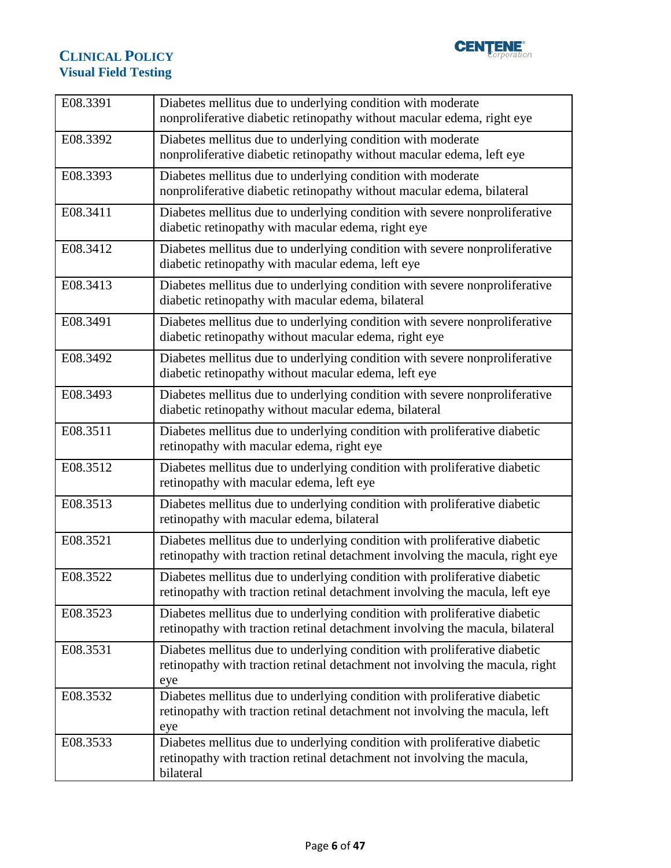

| E08.3391 | Diabetes mellitus due to underlying condition with moderate<br>nonproliferative diabetic retinopathy without macular edema, right eye                            |
|----------|------------------------------------------------------------------------------------------------------------------------------------------------------------------|
| E08.3392 | Diabetes mellitus due to underlying condition with moderate<br>nonproliferative diabetic retinopathy without macular edema, left eye                             |
| E08.3393 | Diabetes mellitus due to underlying condition with moderate<br>nonproliferative diabetic retinopathy without macular edema, bilateral                            |
| E08.3411 | Diabetes mellitus due to underlying condition with severe nonproliferative<br>diabetic retinopathy with macular edema, right eye                                 |
| E08.3412 | Diabetes mellitus due to underlying condition with severe nonproliferative<br>diabetic retinopathy with macular edema, left eye                                  |
| E08.3413 | Diabetes mellitus due to underlying condition with severe nonproliferative<br>diabetic retinopathy with macular edema, bilateral                                 |
| E08.3491 | Diabetes mellitus due to underlying condition with severe nonproliferative<br>diabetic retinopathy without macular edema, right eye                              |
| E08.3492 | Diabetes mellitus due to underlying condition with severe nonproliferative<br>diabetic retinopathy without macular edema, left eye                               |
| E08.3493 | Diabetes mellitus due to underlying condition with severe nonproliferative<br>diabetic retinopathy without macular edema, bilateral                              |
| E08.3511 | Diabetes mellitus due to underlying condition with proliferative diabetic<br>retinopathy with macular edema, right eye                                           |
| E08.3512 | Diabetes mellitus due to underlying condition with proliferative diabetic<br>retinopathy with macular edema, left eye                                            |
| E08.3513 | Diabetes mellitus due to underlying condition with proliferative diabetic<br>retinopathy with macular edema, bilateral                                           |
| E08.3521 | Diabetes mellitus due to underlying condition with proliferative diabetic<br>retinopathy with traction retinal detachment involving the macula, right eye        |
| E08.3522 | Diabetes mellitus due to underlying condition with proliferative diabetic<br>retinopathy with traction retinal detachment involving the macula, left eye         |
| E08.3523 | Diabetes mellitus due to underlying condition with proliferative diabetic<br>retinopathy with traction retinal detachment involving the macula, bilateral        |
| E08.3531 | Diabetes mellitus due to underlying condition with proliferative diabetic<br>retinopathy with traction retinal detachment not involving the macula, right<br>eye |
| E08.3532 | Diabetes mellitus due to underlying condition with proliferative diabetic<br>retinopathy with traction retinal detachment not involving the macula, left<br>eye  |
| E08.3533 | Diabetes mellitus due to underlying condition with proliferative diabetic<br>retinopathy with traction retinal detachment not involving the macula,<br>bilateral |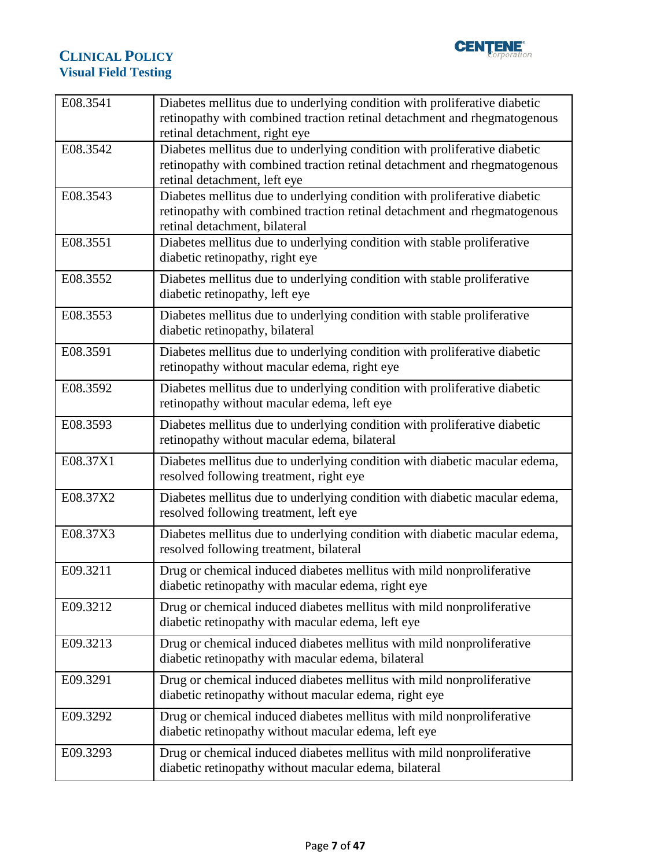

| E08.3541 | Diabetes mellitus due to underlying condition with proliferative diabetic<br>retinopathy with combined traction retinal detachment and rhegmatogenous<br>retinal detachment, right eye |
|----------|----------------------------------------------------------------------------------------------------------------------------------------------------------------------------------------|
| E08.3542 | Diabetes mellitus due to underlying condition with proliferative diabetic<br>retinopathy with combined traction retinal detachment and rhegmatogenous<br>retinal detachment, left eye  |
| E08.3543 | Diabetes mellitus due to underlying condition with proliferative diabetic<br>retinopathy with combined traction retinal detachment and rhegmatogenous<br>retinal detachment, bilateral |
| E08.3551 | Diabetes mellitus due to underlying condition with stable proliferative<br>diabetic retinopathy, right eye                                                                             |
| E08.3552 | Diabetes mellitus due to underlying condition with stable proliferative<br>diabetic retinopathy, left eye                                                                              |
| E08.3553 | Diabetes mellitus due to underlying condition with stable proliferative<br>diabetic retinopathy, bilateral                                                                             |
| E08.3591 | Diabetes mellitus due to underlying condition with proliferative diabetic<br>retinopathy without macular edema, right eye                                                              |
| E08.3592 | Diabetes mellitus due to underlying condition with proliferative diabetic<br>retinopathy without macular edema, left eye                                                               |
| E08.3593 | Diabetes mellitus due to underlying condition with proliferative diabetic<br>retinopathy without macular edema, bilateral                                                              |
| E08.37X1 | Diabetes mellitus due to underlying condition with diabetic macular edema,<br>resolved following treatment, right eye                                                                  |
| E08.37X2 | Diabetes mellitus due to underlying condition with diabetic macular edema,<br>resolved following treatment, left eye                                                                   |
| E08.37X3 | Diabetes mellitus due to underlying condition with diabetic macular edema,<br>resolved following treatment, bilateral                                                                  |
| E09.3211 | Drug or chemical induced diabetes mellitus with mild nonproliferative<br>diabetic retinopathy with macular edema, right eye                                                            |
| E09.3212 | Drug or chemical induced diabetes mellitus with mild nonproliferative<br>diabetic retinopathy with macular edema, left eye                                                             |
| E09.3213 | Drug or chemical induced diabetes mellitus with mild nonproliferative<br>diabetic retinopathy with macular edema, bilateral                                                            |
| E09.3291 | Drug or chemical induced diabetes mellitus with mild nonproliferative<br>diabetic retinopathy without macular edema, right eye                                                         |
| E09.3292 | Drug or chemical induced diabetes mellitus with mild nonproliferative<br>diabetic retinopathy without macular edema, left eye                                                          |
| E09.3293 | Drug or chemical induced diabetes mellitus with mild nonproliferative<br>diabetic retinopathy without macular edema, bilateral                                                         |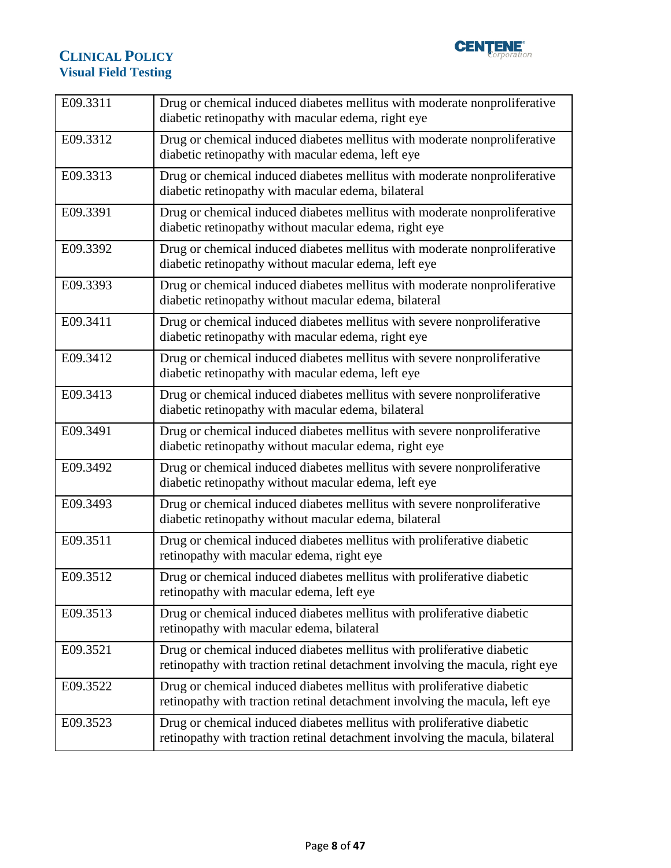

| E09.3311 | Drug or chemical induced diabetes mellitus with moderate nonproliferative<br>diabetic retinopathy with macular edema, right eye                        |
|----------|--------------------------------------------------------------------------------------------------------------------------------------------------------|
| E09.3312 | Drug or chemical induced diabetes mellitus with moderate nonproliferative<br>diabetic retinopathy with macular edema, left eye                         |
| E09.3313 | Drug or chemical induced diabetes mellitus with moderate nonproliferative<br>diabetic retinopathy with macular edema, bilateral                        |
| E09.3391 | Drug or chemical induced diabetes mellitus with moderate nonproliferative<br>diabetic retinopathy without macular edema, right eye                     |
| E09.3392 | Drug or chemical induced diabetes mellitus with moderate nonproliferative<br>diabetic retinopathy without macular edema, left eye                      |
| E09.3393 | Drug or chemical induced diabetes mellitus with moderate nonproliferative<br>diabetic retinopathy without macular edema, bilateral                     |
| E09.3411 | Drug or chemical induced diabetes mellitus with severe nonproliferative<br>diabetic retinopathy with macular edema, right eye                          |
| E09.3412 | Drug or chemical induced diabetes mellitus with severe nonproliferative<br>diabetic retinopathy with macular edema, left eye                           |
| E09.3413 | Drug or chemical induced diabetes mellitus with severe nonproliferative<br>diabetic retinopathy with macular edema, bilateral                          |
| E09.3491 | Drug or chemical induced diabetes mellitus with severe nonproliferative<br>diabetic retinopathy without macular edema, right eye                       |
| E09.3492 | Drug or chemical induced diabetes mellitus with severe nonproliferative<br>diabetic retinopathy without macular edema, left eye                        |
| E09.3493 | Drug or chemical induced diabetes mellitus with severe nonproliferative<br>diabetic retinopathy without macular edema, bilateral                       |
| E09.3511 | Drug or chemical induced diabetes mellitus with proliferative diabetic<br>retinopathy with macular edema, right eye                                    |
| E09.3512 | Drug or chemical induced diabetes mellitus with proliferative diabetic<br>retinopathy with macular edema, left eye                                     |
| E09.3513 | Drug or chemical induced diabetes mellitus with proliferative diabetic<br>retinopathy with macular edema, bilateral                                    |
| E09.3521 | Drug or chemical induced diabetes mellitus with proliferative diabetic<br>retinopathy with traction retinal detachment involving the macula, right eye |
| E09.3522 | Drug or chemical induced diabetes mellitus with proliferative diabetic<br>retinopathy with traction retinal detachment involving the macula, left eye  |
| E09.3523 | Drug or chemical induced diabetes mellitus with proliferative diabetic<br>retinopathy with traction retinal detachment involving the macula, bilateral |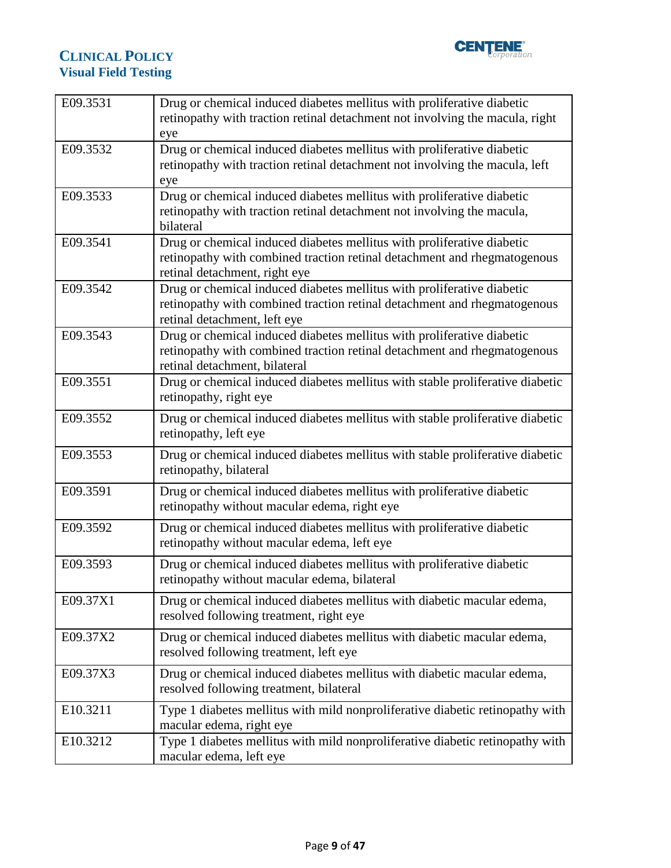

| E09.3531 | Drug or chemical induced diabetes mellitus with proliferative diabetic<br>retinopathy with traction retinal detachment not involving the macula, right<br>eye                       |
|----------|-------------------------------------------------------------------------------------------------------------------------------------------------------------------------------------|
| E09.3532 | Drug or chemical induced diabetes mellitus with proliferative diabetic<br>retinopathy with traction retinal detachment not involving the macula, left<br>eye                        |
| E09.3533 | Drug or chemical induced diabetes mellitus with proliferative diabetic<br>retinopathy with traction retinal detachment not involving the macula,<br>bilateral                       |
| E09.3541 | Drug or chemical induced diabetes mellitus with proliferative diabetic<br>retinopathy with combined traction retinal detachment and rhegmatogenous<br>retinal detachment, right eye |
| E09.3542 | Drug or chemical induced diabetes mellitus with proliferative diabetic<br>retinopathy with combined traction retinal detachment and rhegmatogenous<br>retinal detachment, left eye  |
| E09.3543 | Drug or chemical induced diabetes mellitus with proliferative diabetic<br>retinopathy with combined traction retinal detachment and rhegmatogenous<br>retinal detachment, bilateral |
| E09.3551 | Drug or chemical induced diabetes mellitus with stable proliferative diabetic<br>retinopathy, right eye                                                                             |
| E09.3552 | Drug or chemical induced diabetes mellitus with stable proliferative diabetic<br>retinopathy, left eye                                                                              |
| E09.3553 | Drug or chemical induced diabetes mellitus with stable proliferative diabetic<br>retinopathy, bilateral                                                                             |
| E09.3591 | Drug or chemical induced diabetes mellitus with proliferative diabetic<br>retinopathy without macular edema, right eye                                                              |
| E09.3592 | Drug or chemical induced diabetes mellitus with proliferative diabetic<br>retinopathy without macular edema, left eye                                                               |
| E09.3593 | Drug or chemical induced diabetes mellitus with proliferative diabetic<br>retinopathy without macular edema, bilateral                                                              |
| E09.37X1 | Drug or chemical induced diabetes mellitus with diabetic macular edema,<br>resolved following treatment, right eye                                                                  |
| E09.37X2 | Drug or chemical induced diabetes mellitus with diabetic macular edema,<br>resolved following treatment, left eye                                                                   |
| E09.37X3 | Drug or chemical induced diabetes mellitus with diabetic macular edema,<br>resolved following treatment, bilateral                                                                  |
| E10.3211 | Type 1 diabetes mellitus with mild nonproliferative diabetic retinopathy with<br>macular edema, right eye                                                                           |
| E10.3212 | Type 1 diabetes mellitus with mild nonproliferative diabetic retinopathy with<br>macular edema, left eye                                                                            |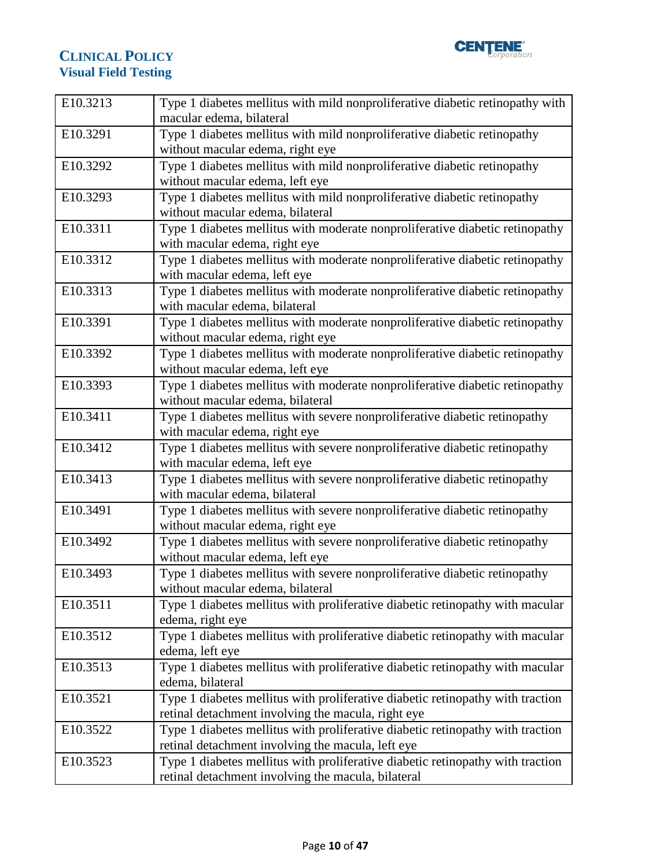

| E10.3213 | Type 1 diabetes mellitus with mild nonproliferative diabetic retinopathy with                                                        |
|----------|--------------------------------------------------------------------------------------------------------------------------------------|
|          | macular edema, bilateral                                                                                                             |
| E10.3291 | Type 1 diabetes mellitus with mild nonproliferative diabetic retinopathy                                                             |
|          | without macular edema, right eye                                                                                                     |
| E10.3292 | Type 1 diabetes mellitus with mild nonproliferative diabetic retinopathy                                                             |
|          | without macular edema, left eye                                                                                                      |
| E10.3293 | Type 1 diabetes mellitus with mild nonproliferative diabetic retinopathy                                                             |
|          | without macular edema, bilateral                                                                                                     |
| E10.3311 | Type 1 diabetes mellitus with moderate nonproliferative diabetic retinopathy                                                         |
|          | with macular edema, right eye                                                                                                        |
| E10.3312 | Type 1 diabetes mellitus with moderate nonproliferative diabetic retinopathy                                                         |
|          | with macular edema, left eye                                                                                                         |
| E10.3313 | Type 1 diabetes mellitus with moderate nonproliferative diabetic retinopathy                                                         |
|          | with macular edema, bilateral                                                                                                        |
| E10.3391 | Type 1 diabetes mellitus with moderate nonproliferative diabetic retinopathy                                                         |
|          | without macular edema, right eye                                                                                                     |
| E10.3392 | Type 1 diabetes mellitus with moderate nonproliferative diabetic retinopathy                                                         |
|          | without macular edema, left eye                                                                                                      |
| E10.3393 | Type 1 diabetes mellitus with moderate nonproliferative diabetic retinopathy                                                         |
|          | without macular edema, bilateral                                                                                                     |
| E10.3411 | Type 1 diabetes mellitus with severe nonproliferative diabetic retinopathy                                                           |
|          | with macular edema, right eye                                                                                                        |
|          |                                                                                                                                      |
| E10.3412 | Type 1 diabetes mellitus with severe nonproliferative diabetic retinopathy                                                           |
|          | with macular edema, left eye                                                                                                         |
| E10.3413 | Type 1 diabetes mellitus with severe nonproliferative diabetic retinopathy                                                           |
|          | with macular edema, bilateral                                                                                                        |
| E10.3491 | Type 1 diabetes mellitus with severe nonproliferative diabetic retinopathy                                                           |
|          | without macular edema, right eye                                                                                                     |
| E10.3492 | Type 1 diabetes mellitus with severe nonproliferative diabetic retinopathy                                                           |
|          | without macular edema, left eye                                                                                                      |
| E10.3493 | Type 1 diabetes mellitus with severe nonproliferative diabetic retinopathy                                                           |
|          | without macular edema, bilateral                                                                                                     |
| E10.3511 | Type 1 diabetes mellitus with proliferative diabetic retinopathy with macular                                                        |
|          | edema, right eye                                                                                                                     |
| E10.3512 | Type 1 diabetes mellitus with proliferative diabetic retinopathy with macular                                                        |
|          | edema, left eye                                                                                                                      |
| E10.3513 | Type 1 diabetes mellitus with proliferative diabetic retinopathy with macular                                                        |
|          | edema, bilateral                                                                                                                     |
| E10.3521 | Type 1 diabetes mellitus with proliferative diabetic retinopathy with traction                                                       |
|          | retinal detachment involving the macula, right eye                                                                                   |
| E10.3522 | Type 1 diabetes mellitus with proliferative diabetic retinopathy with traction                                                       |
|          | retinal detachment involving the macula, left eye                                                                                    |
| E10.3523 | Type 1 diabetes mellitus with proliferative diabetic retinopathy with traction<br>retinal detachment involving the macula, bilateral |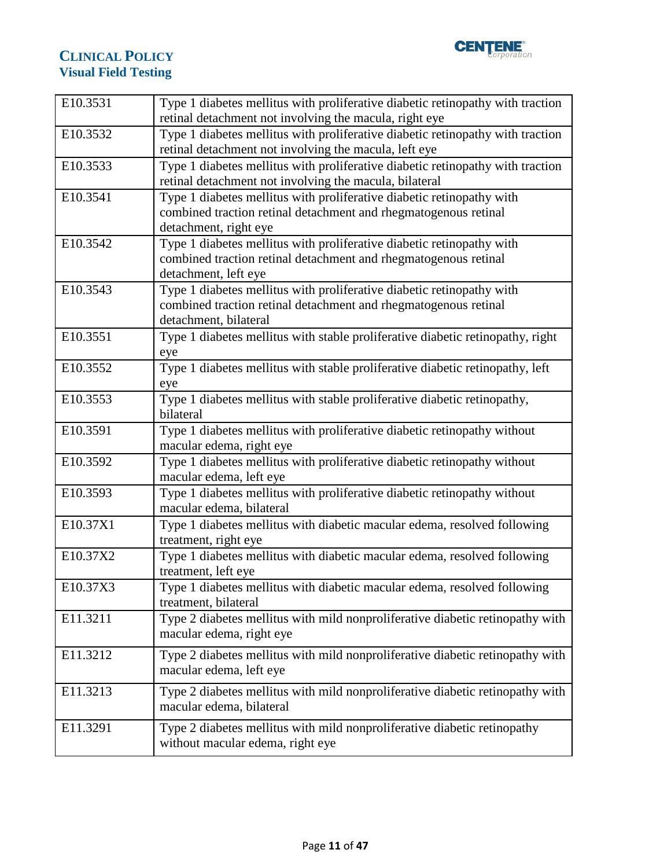

| E10.3531 | Type 1 diabetes mellitus with proliferative diabetic retinopathy with traction<br>retinal detachment not involving the macula, right eye                          |
|----------|-------------------------------------------------------------------------------------------------------------------------------------------------------------------|
| E10.3532 | Type 1 diabetes mellitus with proliferative diabetic retinopathy with traction<br>retinal detachment not involving the macula, left eye                           |
| E10.3533 | Type 1 diabetes mellitus with proliferative diabetic retinopathy with traction<br>retinal detachment not involving the macula, bilateral                          |
| E10.3541 | Type 1 diabetes mellitus with proliferative diabetic retinopathy with<br>combined traction retinal detachment and rhegmatogenous retinal<br>detachment, right eye |
| E10.3542 | Type 1 diabetes mellitus with proliferative diabetic retinopathy with<br>combined traction retinal detachment and rhegmatogenous retinal<br>detachment, left eye  |
| E10.3543 | Type 1 diabetes mellitus with proliferative diabetic retinopathy with<br>combined traction retinal detachment and rhegmatogenous retinal<br>detachment, bilateral |
| E10.3551 | Type 1 diabetes mellitus with stable proliferative diabetic retinopathy, right<br>eye                                                                             |
| E10.3552 | Type 1 diabetes mellitus with stable proliferative diabetic retinopathy, left<br>eye                                                                              |
| E10.3553 | Type 1 diabetes mellitus with stable proliferative diabetic retinopathy,<br>bilateral                                                                             |
| E10.3591 | Type 1 diabetes mellitus with proliferative diabetic retinopathy without<br>macular edema, right eye                                                              |
| E10.3592 | Type 1 diabetes mellitus with proliferative diabetic retinopathy without<br>macular edema, left eye                                                               |
| E10.3593 | Type 1 diabetes mellitus with proliferative diabetic retinopathy without<br>macular edema, bilateral                                                              |
| E10.37X1 | Type 1 diabetes mellitus with diabetic macular edema, resolved following<br>treatment, right eye                                                                  |
| E10.37X2 | Type 1 diabetes mellitus with diabetic macular edema, resolved following<br>treatment, left eye                                                                   |
| E10.37X3 | Type 1 diabetes mellitus with diabetic macular edema, resolved following<br>treatment, bilateral                                                                  |
| E11.3211 | Type 2 diabetes mellitus with mild nonproliferative diabetic retinopathy with<br>macular edema, right eye                                                         |
| E11.3212 | Type 2 diabetes mellitus with mild nonproliferative diabetic retinopathy with<br>macular edema, left eye                                                          |
| E11.3213 | Type 2 diabetes mellitus with mild nonproliferative diabetic retinopathy with<br>macular edema, bilateral                                                         |
| E11.3291 | Type 2 diabetes mellitus with mild nonproliferative diabetic retinopathy<br>without macular edema, right eye                                                      |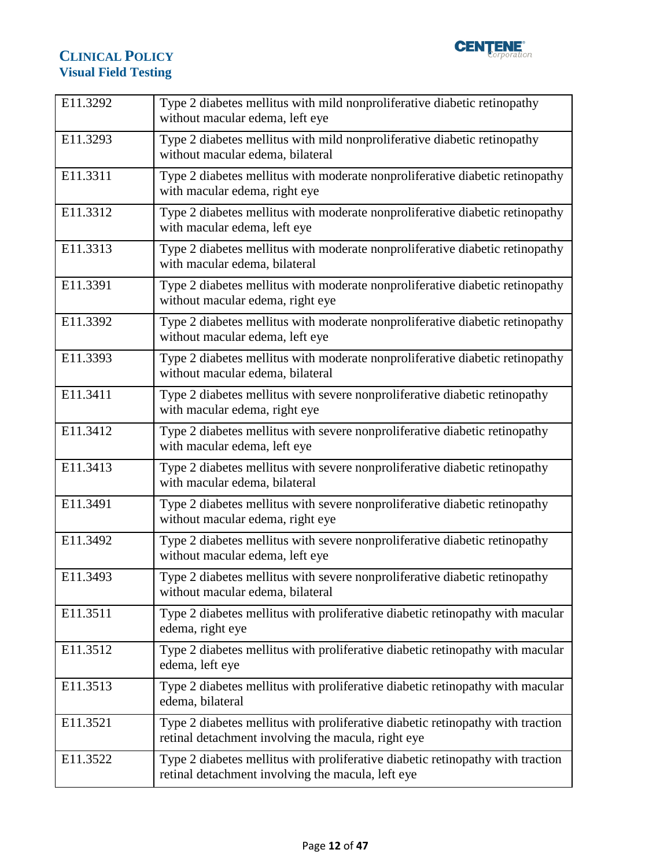

| E11.3292 | Type 2 diabetes mellitus with mild nonproliferative diabetic retinopathy<br>without macular edema, left eye                          |
|----------|--------------------------------------------------------------------------------------------------------------------------------------|
| E11.3293 | Type 2 diabetes mellitus with mild nonproliferative diabetic retinopathy<br>without macular edema, bilateral                         |
| E11.3311 | Type 2 diabetes mellitus with moderate nonproliferative diabetic retinopathy<br>with macular edema, right eye                        |
| E11.3312 | Type 2 diabetes mellitus with moderate nonproliferative diabetic retinopathy<br>with macular edema, left eye                         |
| E11.3313 | Type 2 diabetes mellitus with moderate nonproliferative diabetic retinopathy<br>with macular edema, bilateral                        |
| E11.3391 | Type 2 diabetes mellitus with moderate nonproliferative diabetic retinopathy<br>without macular edema, right eye                     |
| E11.3392 | Type 2 diabetes mellitus with moderate nonproliferative diabetic retinopathy<br>without macular edema, left eye                      |
| E11.3393 | Type 2 diabetes mellitus with moderate nonproliferative diabetic retinopathy<br>without macular edema, bilateral                     |
| E11.3411 | Type 2 diabetes mellitus with severe nonproliferative diabetic retinopathy<br>with macular edema, right eye                          |
| E11.3412 | Type 2 diabetes mellitus with severe nonproliferative diabetic retinopathy<br>with macular edema, left eye                           |
| E11.3413 | Type 2 diabetes mellitus with severe nonproliferative diabetic retinopathy<br>with macular edema, bilateral                          |
| E11.3491 | Type 2 diabetes mellitus with severe nonproliferative diabetic retinopathy<br>without macular edema, right eye                       |
| E11.3492 | Type 2 diabetes mellitus with severe nonproliferative diabetic retinopathy<br>without macular edema, left eye                        |
| E11.3493 | Type 2 diabetes mellitus with severe nonproliferative diabetic retinopathy<br>without macular edema, bilateral                       |
| E11.3511 | Type 2 diabetes mellitus with proliferative diabetic retinopathy with macular<br>edema, right eye                                    |
| E11.3512 | Type 2 diabetes mellitus with proliferative diabetic retinopathy with macular<br>edema, left eye                                     |
| E11.3513 | Type 2 diabetes mellitus with proliferative diabetic retinopathy with macular<br>edema, bilateral                                    |
| E11.3521 | Type 2 diabetes mellitus with proliferative diabetic retinopathy with traction<br>retinal detachment involving the macula, right eye |
| E11.3522 | Type 2 diabetes mellitus with proliferative diabetic retinopathy with traction<br>retinal detachment involving the macula, left eye  |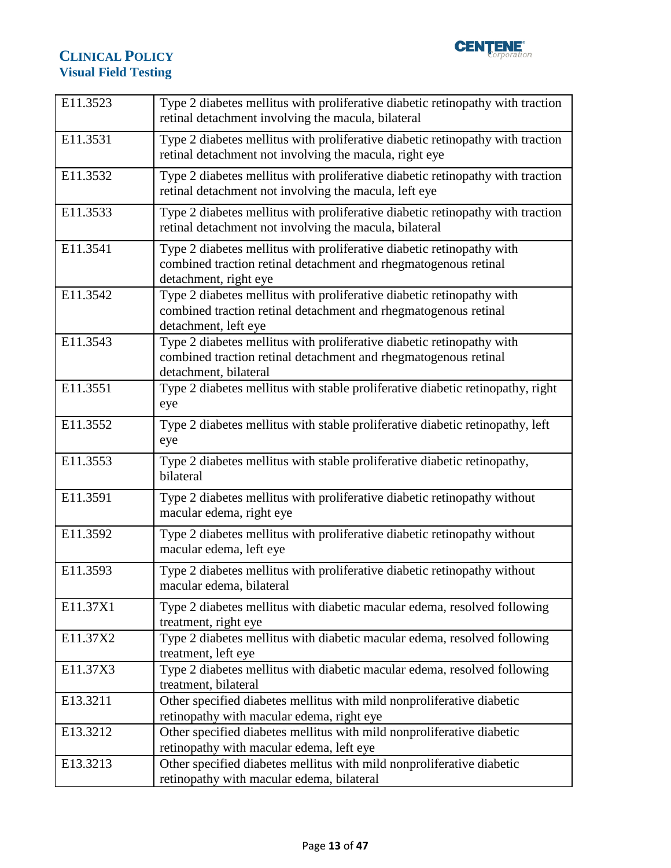

| E11.3523 | Type 2 diabetes mellitus with proliferative diabetic retinopathy with traction<br>retinal detachment involving the macula, bilateral                              |
|----------|-------------------------------------------------------------------------------------------------------------------------------------------------------------------|
| E11.3531 | Type 2 diabetes mellitus with proliferative diabetic retinopathy with traction<br>retinal detachment not involving the macula, right eye                          |
| E11.3532 | Type 2 diabetes mellitus with proliferative diabetic retinopathy with traction<br>retinal detachment not involving the macula, left eye                           |
| E11.3533 | Type 2 diabetes mellitus with proliferative diabetic retinopathy with traction<br>retinal detachment not involving the macula, bilateral                          |
| E11.3541 | Type 2 diabetes mellitus with proliferative diabetic retinopathy with<br>combined traction retinal detachment and rhegmatogenous retinal<br>detachment, right eye |
| E11.3542 | Type 2 diabetes mellitus with proliferative diabetic retinopathy with<br>combined traction retinal detachment and rhegmatogenous retinal<br>detachment, left eye  |
| E11.3543 | Type 2 diabetes mellitus with proliferative diabetic retinopathy with<br>combined traction retinal detachment and rhegmatogenous retinal<br>detachment, bilateral |
| E11.3551 | Type 2 diabetes mellitus with stable proliferative diabetic retinopathy, right<br>eye                                                                             |
| E11.3552 | Type 2 diabetes mellitus with stable proliferative diabetic retinopathy, left<br>eye                                                                              |
| E11.3553 | Type 2 diabetes mellitus with stable proliferative diabetic retinopathy,<br>bilateral                                                                             |
| E11.3591 | Type 2 diabetes mellitus with proliferative diabetic retinopathy without<br>macular edema, right eye                                                              |
| E11.3592 | Type 2 diabetes mellitus with proliferative diabetic retinopathy without<br>macular edema, left eye                                                               |
| E11.3593 | Type 2 diabetes mellitus with proliferative diabetic retinopathy without<br>macular edema, bilateral                                                              |
| E11.37X1 | Type 2 diabetes mellitus with diabetic macular edema, resolved following<br>treatment, right eye                                                                  |
| E11.37X2 | Type 2 diabetes mellitus with diabetic macular edema, resolved following<br>treatment, left eye                                                                   |
| E11.37X3 | Type 2 diabetes mellitus with diabetic macular edema, resolved following<br>treatment, bilateral                                                                  |
| E13.3211 | Other specified diabetes mellitus with mild nonproliferative diabetic<br>retinopathy with macular edema, right eye                                                |
| E13.3212 | Other specified diabetes mellitus with mild nonproliferative diabetic<br>retinopathy with macular edema, left eye                                                 |
| E13.3213 | Other specified diabetes mellitus with mild nonproliferative diabetic<br>retinopathy with macular edema, bilateral                                                |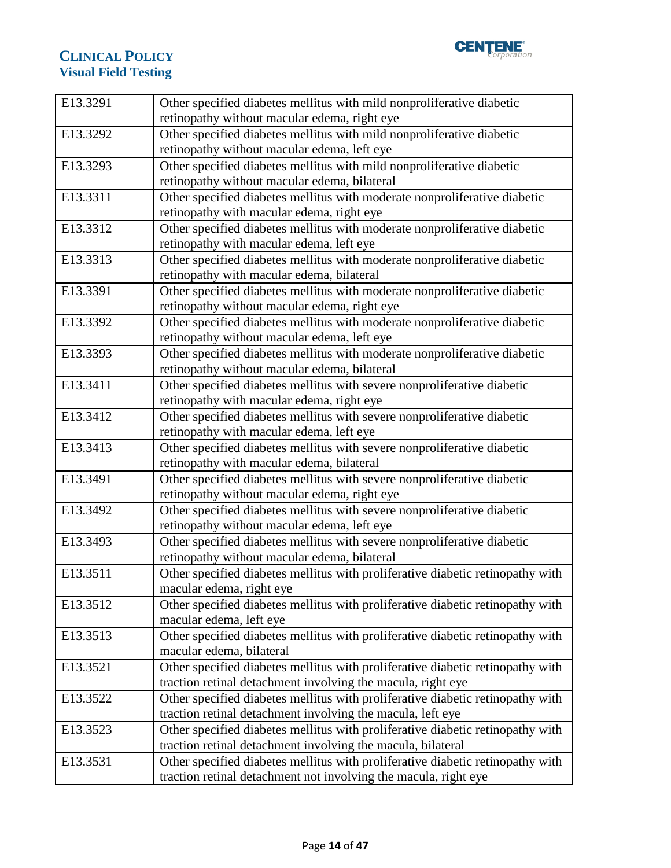

| E13.3291 | Other specified diabetes mellitus with mild nonproliferative diabetic                                                   |
|----------|-------------------------------------------------------------------------------------------------------------------------|
|          | retinopathy without macular edema, right eye                                                                            |
| E13.3292 | Other specified diabetes mellitus with mild nonproliferative diabetic                                                   |
|          | retinopathy without macular edema, left eye                                                                             |
| E13.3293 | Other specified diabetes mellitus with mild nonproliferative diabetic                                                   |
|          | retinopathy without macular edema, bilateral                                                                            |
| E13.3311 | Other specified diabetes mellitus with moderate nonproliferative diabetic                                               |
|          | retinopathy with macular edema, right eye                                                                               |
| E13.3312 | Other specified diabetes mellitus with moderate nonproliferative diabetic                                               |
|          | retinopathy with macular edema, left eye                                                                                |
| E13.3313 | Other specified diabetes mellitus with moderate nonproliferative diabetic                                               |
|          | retinopathy with macular edema, bilateral                                                                               |
| E13.3391 | Other specified diabetes mellitus with moderate nonproliferative diabetic                                               |
|          | retinopathy without macular edema, right eye                                                                            |
| E13.3392 | Other specified diabetes mellitus with moderate nonproliferative diabetic                                               |
|          | retinopathy without macular edema, left eye                                                                             |
| E13.3393 | Other specified diabetes mellitus with moderate nonproliferative diabetic                                               |
|          | retinopathy without macular edema, bilateral                                                                            |
| E13.3411 | Other specified diabetes mellitus with severe nonproliferative diabetic                                                 |
|          | retinopathy with macular edema, right eye                                                                               |
| E13.3412 | Other specified diabetes mellitus with severe nonproliferative diabetic                                                 |
|          | retinopathy with macular edema, left eye                                                                                |
| E13.3413 | Other specified diabetes mellitus with severe nonproliferative diabetic                                                 |
|          | retinopathy with macular edema, bilateral                                                                               |
| E13.3491 | Other specified diabetes mellitus with severe nonproliferative diabetic                                                 |
|          | retinopathy without macular edema, right eye                                                                            |
| E13.3492 | Other specified diabetes mellitus with severe nonproliferative diabetic                                                 |
|          | retinopathy without macular edema, left eye                                                                             |
| E13.3493 | Other specified diabetes mellitus with severe nonproliferative diabetic<br>retinopathy without macular edema, bilateral |
| E13.3511 | Other specified diabetes mellitus with proliferative diabetic retinopathy with                                          |
|          | macular edema, right eye                                                                                                |
| E13.3512 | Other specified diabetes mellitus with proliferative diabetic retinopathy with                                          |
|          | macular edema, left eye                                                                                                 |
| E13.3513 | Other specified diabetes mellitus with proliferative diabetic retinopathy with                                          |
|          | macular edema, bilateral                                                                                                |
| E13.3521 | Other specified diabetes mellitus with proliferative diabetic retinopathy with                                          |
|          | traction retinal detachment involving the macula, right eye                                                             |
| E13.3522 | Other specified diabetes mellitus with proliferative diabetic retinopathy with                                          |
|          | traction retinal detachment involving the macula, left eye                                                              |
| E13.3523 | Other specified diabetes mellitus with proliferative diabetic retinopathy with                                          |
|          | traction retinal detachment involving the macula, bilateral                                                             |
| E13.3531 | Other specified diabetes mellitus with proliferative diabetic retinopathy with                                          |
|          | traction retinal detachment not involving the macula, right eye                                                         |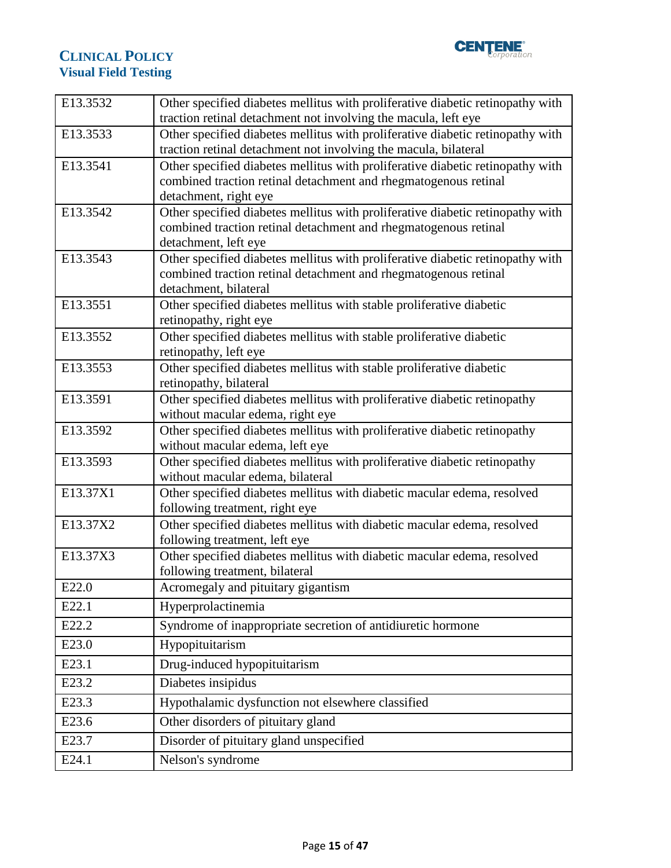

| E13.3532 | Other specified diabetes mellitus with proliferative diabetic retinopathy with                                |
|----------|---------------------------------------------------------------------------------------------------------------|
|          | traction retinal detachment not involving the macula, left eye                                                |
| E13.3533 | Other specified diabetes mellitus with proliferative diabetic retinopathy with                                |
|          | traction retinal detachment not involving the macula, bilateral                                               |
| E13.3541 | Other specified diabetes mellitus with proliferative diabetic retinopathy with                                |
|          | combined traction retinal detachment and rhegmatogenous retinal                                               |
|          | detachment, right eye                                                                                         |
| E13.3542 | Other specified diabetes mellitus with proliferative diabetic retinopathy with                                |
|          | combined traction retinal detachment and rhegmatogenous retinal<br>detachment, left eye                       |
| E13.3543 | Other specified diabetes mellitus with proliferative diabetic retinopathy with                                |
|          | combined traction retinal detachment and rhegmatogenous retinal                                               |
|          | detachment, bilateral                                                                                         |
| E13.3551 | Other specified diabetes mellitus with stable proliferative diabetic                                          |
|          | retinopathy, right eye                                                                                        |
| E13.3552 | Other specified diabetes mellitus with stable proliferative diabetic                                          |
|          | retinopathy, left eye                                                                                         |
| E13.3553 | Other specified diabetes mellitus with stable proliferative diabetic                                          |
|          | retinopathy, bilateral                                                                                        |
| E13.3591 | Other specified diabetes mellitus with proliferative diabetic retinopathy                                     |
|          | without macular edema, right eye                                                                              |
| E13.3592 | Other specified diabetes mellitus with proliferative diabetic retinopathy                                     |
| E13.3593 | without macular edema, left eye                                                                               |
|          | Other specified diabetes mellitus with proliferative diabetic retinopathy<br>without macular edema, bilateral |
| E13.37X1 | Other specified diabetes mellitus with diabetic macular edema, resolved                                       |
|          | following treatment, right eye                                                                                |
| E13.37X2 | Other specified diabetes mellitus with diabetic macular edema, resolved                                       |
|          | following treatment, left eye                                                                                 |
| E13.37X3 | Other specified diabetes mellitus with diabetic macular edema, resolved                                       |
|          | following treatment, bilateral                                                                                |
| E22.0    | Acromegaly and pituitary gigantism                                                                            |
| E22.1    | Hyperprolactinemia                                                                                            |
| E22.2    | Syndrome of inappropriate secretion of antidiuretic hormone                                                   |
| E23.0    | Hypopituitarism                                                                                               |
| E23.1    | Drug-induced hypopituitarism                                                                                  |
| E23.2    | Diabetes insipidus                                                                                            |
| E23.3    | Hypothalamic dysfunction not elsewhere classified                                                             |
| E23.6    | Other disorders of pituitary gland                                                                            |
| E23.7    | Disorder of pituitary gland unspecified                                                                       |
| E24.1    | Nelson's syndrome                                                                                             |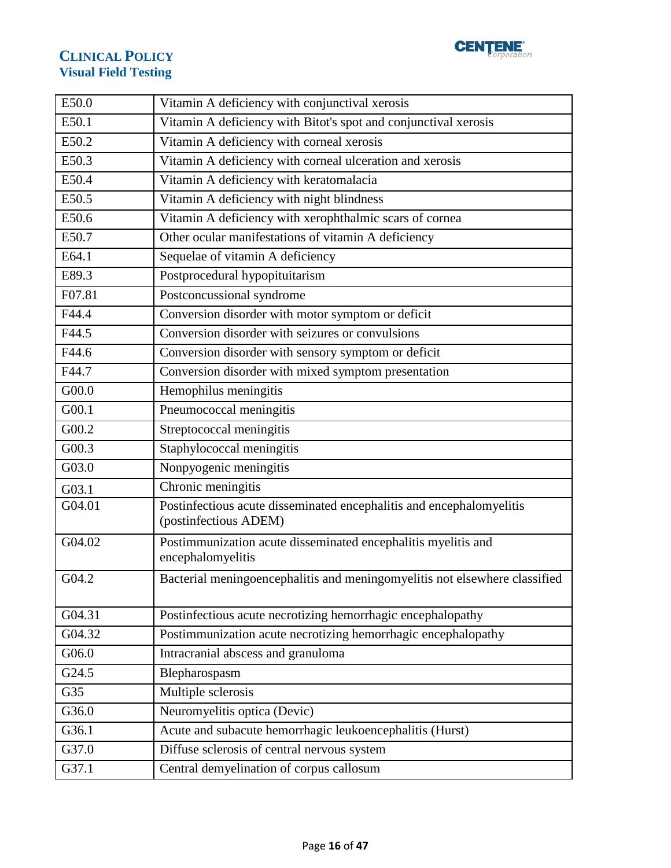

| E50.0  | Vitamin A deficiency with conjunctival xerosis                                                |
|--------|-----------------------------------------------------------------------------------------------|
| E50.1  | Vitamin A deficiency with Bitot's spot and conjunctival xerosis                               |
| E50.2  | Vitamin A deficiency with corneal xerosis                                                     |
| E50.3  | Vitamin A deficiency with corneal ulceration and xerosis                                      |
| E50.4  | Vitamin A deficiency with keratomalacia                                                       |
| E50.5  | Vitamin A deficiency with night blindness                                                     |
| E50.6  | Vitamin A deficiency with xerophthalmic scars of cornea                                       |
| E50.7  | Other ocular manifestations of vitamin A deficiency                                           |
| E64.1  | Sequelae of vitamin A deficiency                                                              |
| E89.3  | Postprocedural hypopituitarism                                                                |
| F07.81 | Postconcussional syndrome                                                                     |
| F44.4  | Conversion disorder with motor symptom or deficit                                             |
| F44.5  | Conversion disorder with seizures or convulsions                                              |
| F44.6  | Conversion disorder with sensory symptom or deficit                                           |
| F44.7  | Conversion disorder with mixed symptom presentation                                           |
| G00.0  | Hemophilus meningitis                                                                         |
| G00.1  | Pneumococcal meningitis                                                                       |
| G00.2  | Streptococcal meningitis                                                                      |
| G00.3  | Staphylococcal meningitis                                                                     |
| G03.0  | Nonpyogenic meningitis                                                                        |
| G03.1  | Chronic meningitis                                                                            |
| G04.01 | Postinfectious acute disseminated encephalitis and encephalomyelitis<br>(postinfectious ADEM) |
| G04.02 | Postimmunization acute disseminated encephalitis myelitis and<br>encephalomyelitis            |
| G04.2  | Bacterial meningoencephalitis and meningomyelitis not elsewhere classified                    |
| G04.31 | Postinfectious acute necrotizing hemorrhagic encephalopathy                                   |
| G04.32 | Postimmunization acute necrotizing hemorrhagic encephalopathy                                 |
| G06.0  | Intracranial abscess and granuloma                                                            |
| G24.5  | Blepharospasm                                                                                 |
| G35    | Multiple sclerosis                                                                            |
| G36.0  | Neuromyelitis optica (Devic)                                                                  |
| G36.1  | Acute and subacute hemorrhagic leukoencephalitis (Hurst)                                      |
| G37.0  | Diffuse sclerosis of central nervous system                                                   |
| G37.1  | Central demyelination of corpus callosum                                                      |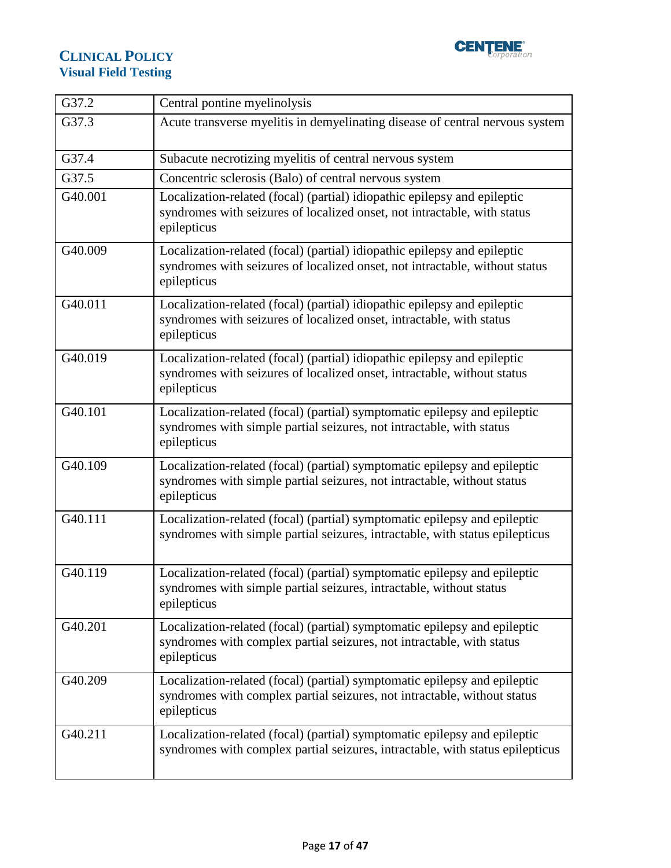

| G37.2   | Central pontine myelinolysis                                                                                                                                           |
|---------|------------------------------------------------------------------------------------------------------------------------------------------------------------------------|
| G37.3   | Acute transverse myelitis in demyelinating disease of central nervous system                                                                                           |
| G37.4   | Subacute necrotizing myelitis of central nervous system                                                                                                                |
| G37.5   | Concentric sclerosis (Balo) of central nervous system                                                                                                                  |
| G40.001 | Localization-related (focal) (partial) idiopathic epilepsy and epileptic<br>syndromes with seizures of localized onset, not intractable, with status<br>epilepticus    |
| G40.009 | Localization-related (focal) (partial) idiopathic epilepsy and epileptic<br>syndromes with seizures of localized onset, not intractable, without status<br>epilepticus |
| G40.011 | Localization-related (focal) (partial) idiopathic epilepsy and epileptic<br>syndromes with seizures of localized onset, intractable, with status<br>epilepticus        |
| G40.019 | Localization-related (focal) (partial) idiopathic epilepsy and epileptic<br>syndromes with seizures of localized onset, intractable, without status<br>epilepticus     |
| G40.101 | Localization-related (focal) (partial) symptomatic epilepsy and epileptic<br>syndromes with simple partial seizures, not intractable, with status<br>epilepticus       |
| G40.109 | Localization-related (focal) (partial) symptomatic epilepsy and epileptic<br>syndromes with simple partial seizures, not intractable, without status<br>epilepticus    |
| G40.111 | Localization-related (focal) (partial) symptomatic epilepsy and epileptic<br>syndromes with simple partial seizures, intractable, with status epilepticus              |
| G40.119 | Localization-related (focal) (partial) symptomatic epilepsy and epileptic<br>syndromes with simple partial seizures, intractable, without status<br>epilepticus        |
| G40.201 | Localization-related (focal) (partial) symptomatic epilepsy and epileptic<br>syndromes with complex partial seizures, not intractable, with status<br>epilepticus      |
| G40.209 | Localization-related (focal) (partial) symptomatic epilepsy and epileptic<br>syndromes with complex partial seizures, not intractable, without status<br>epilepticus   |
| G40.211 | Localization-related (focal) (partial) symptomatic epilepsy and epileptic<br>syndromes with complex partial seizures, intractable, with status epilepticus             |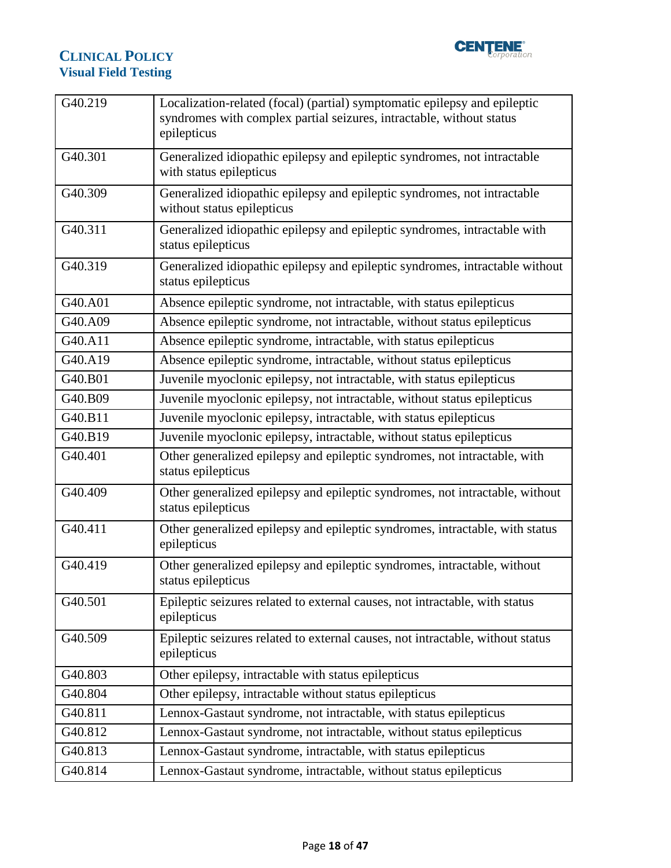

| G40.219 | Localization-related (focal) (partial) symptomatic epilepsy and epileptic<br>syndromes with complex partial seizures, intractable, without status<br>epilepticus |
|---------|------------------------------------------------------------------------------------------------------------------------------------------------------------------|
| G40.301 | Generalized idiopathic epilepsy and epileptic syndromes, not intractable<br>with status epilepticus                                                              |
| G40.309 | Generalized idiopathic epilepsy and epileptic syndromes, not intractable<br>without status epilepticus                                                           |
| G40.311 | Generalized idiopathic epilepsy and epileptic syndromes, intractable with<br>status epilepticus                                                                  |
| G40.319 | Generalized idiopathic epilepsy and epileptic syndromes, intractable without<br>status epilepticus                                                               |
| G40.A01 | Absence epileptic syndrome, not intractable, with status epilepticus                                                                                             |
| G40.A09 | Absence epileptic syndrome, not intractable, without status epilepticus                                                                                          |
| G40.A11 | Absence epileptic syndrome, intractable, with status epilepticus                                                                                                 |
| G40.A19 | Absence epileptic syndrome, intractable, without status epilepticus                                                                                              |
| G40.B01 | Juvenile myoclonic epilepsy, not intractable, with status epilepticus                                                                                            |
| G40.B09 | Juvenile myoclonic epilepsy, not intractable, without status epilepticus                                                                                         |
| G40.B11 | Juvenile myoclonic epilepsy, intractable, with status epilepticus                                                                                                |
| G40.B19 | Juvenile myoclonic epilepsy, intractable, without status epilepticus                                                                                             |
| G40.401 | Other generalized epilepsy and epileptic syndromes, not intractable, with<br>status epilepticus                                                                  |
| G40.409 | Other generalized epilepsy and epileptic syndromes, not intractable, without<br>status epilepticus                                                               |
| G40.411 | Other generalized epilepsy and epileptic syndromes, intractable, with status<br>epilepticus                                                                      |
| G40.419 | Other generalized epilepsy and epileptic syndromes, intractable, without<br>status epilepticus                                                                   |
| G40.501 | Epileptic seizures related to external causes, not intractable, with status<br>epilepticus                                                                       |
| G40.509 | Epileptic seizures related to external causes, not intractable, without status<br>epilepticus                                                                    |
| G40.803 | Other epilepsy, intractable with status epilepticus                                                                                                              |
| G40.804 | Other epilepsy, intractable without status epilepticus                                                                                                           |
| G40.811 | Lennox-Gastaut syndrome, not intractable, with status epilepticus                                                                                                |
| G40.812 | Lennox-Gastaut syndrome, not intractable, without status epilepticus                                                                                             |
| G40.813 | Lennox-Gastaut syndrome, intractable, with status epilepticus                                                                                                    |
| G40.814 | Lennox-Gastaut syndrome, intractable, without status epilepticus                                                                                                 |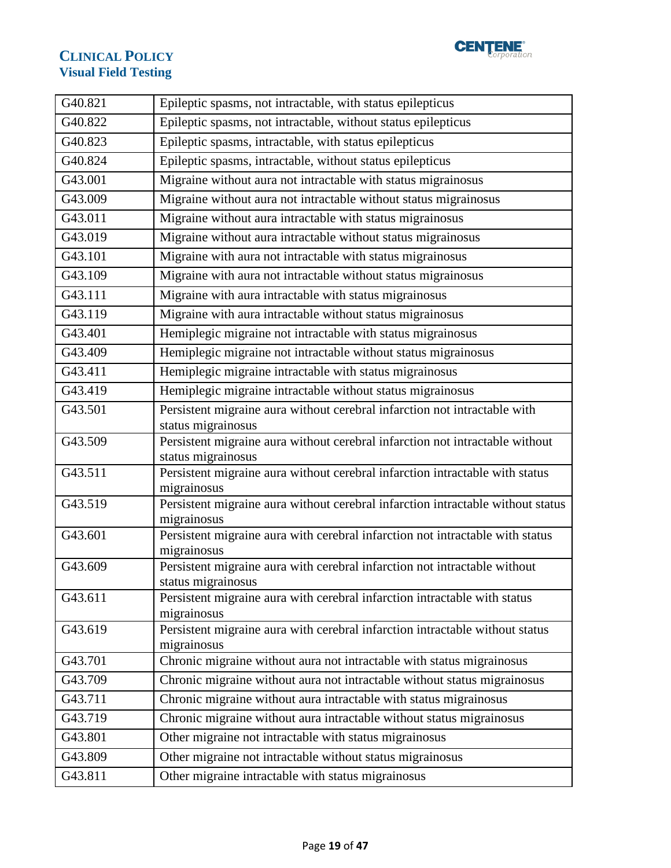

| G40.821 | Epileptic spasms, not intractable, with status epilepticus                                         |
|---------|----------------------------------------------------------------------------------------------------|
| G40.822 | Epileptic spasms, not intractable, without status epilepticus                                      |
| G40.823 | Epileptic spasms, intractable, with status epilepticus                                             |
| G40.824 | Epileptic spasms, intractable, without status epilepticus                                          |
| G43.001 | Migraine without aura not intractable with status migrainosus                                      |
| G43.009 | Migraine without aura not intractable without status migrainosus                                   |
| G43.011 | Migraine without aura intractable with status migrainosus                                          |
| G43.019 | Migraine without aura intractable without status migrainosus                                       |
| G43.101 | Migraine with aura not intractable with status migrainosus                                         |
| G43.109 | Migraine with aura not intractable without status migrainosus                                      |
| G43.111 | Migraine with aura intractable with status migrainosus                                             |
| G43.119 | Migraine with aura intractable without status migrainosus                                          |
| G43.401 | Hemiplegic migraine not intractable with status migrainosus                                        |
| G43.409 | Hemiplegic migraine not intractable without status migrainosus                                     |
| G43.411 | Hemiplegic migraine intractable with status migrainosus                                            |
| G43.419 | Hemiplegic migraine intractable without status migrainosus                                         |
| G43.501 | Persistent migraine aura without cerebral infarction not intractable with                          |
|         | status migrainosus                                                                                 |
| G43.509 | Persistent migraine aura without cerebral infarction not intractable without                       |
| G43.511 | status migrainosus<br>Persistent migraine aura without cerebral infarction intractable with status |
|         | migrainosus                                                                                        |
| G43.519 | Persistent migraine aura without cerebral infarction intractable without status                    |
|         | migrainosus                                                                                        |
| G43.601 | Persistent migraine aura with cerebral infarction not intractable with status<br>migrainosus       |
| G43.609 | Persistent migraine aura with cerebral infarction not intractable without                          |
|         | status migrainosus                                                                                 |
| G43.611 | Persistent migraine aura with cerebral infarction intractable with status                          |
|         | migrainosus                                                                                        |
| G43.619 | Persistent migraine aura with cerebral infarction intractable without status                       |
|         | migrainosus                                                                                        |
| G43.701 | Chronic migraine without aura not intractable with status migrainosus                              |
| G43.709 | Chronic migraine without aura not intractable without status migrainosus                           |
| G43.711 | Chronic migraine without aura intractable with status migrainosus                                  |
| G43.719 | Chronic migraine without aura intractable without status migrainosus                               |
| G43.801 | Other migraine not intractable with status migrainosus                                             |
| G43.809 | Other migraine not intractable without status migrainosus                                          |
| G43.811 | Other migraine intractable with status migrainosus                                                 |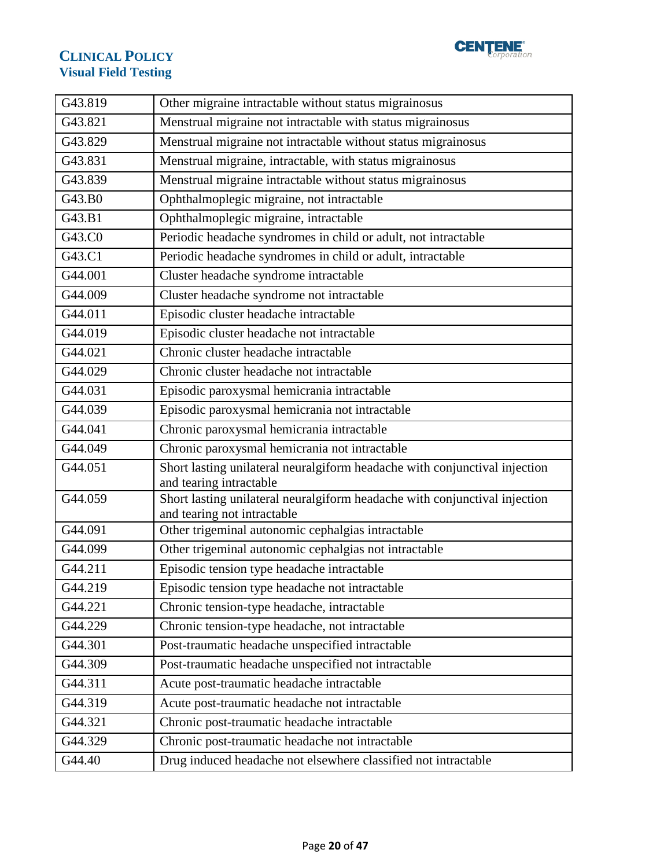

| G43.819 | Other migraine intractable without status migrainosus                                                     |
|---------|-----------------------------------------------------------------------------------------------------------|
| G43.821 | Menstrual migraine not intractable with status migrainosus                                                |
| G43.829 | Menstrual migraine not intractable without status migrainosus                                             |
| G43.831 | Menstrual migraine, intractable, with status migrainosus                                                  |
| G43.839 | Menstrual migraine intractable without status migrainosus                                                 |
| G43.B0  | Ophthalmoplegic migraine, not intractable                                                                 |
| G43.B1  | Ophthalmoplegic migraine, intractable                                                                     |
| G43.C0  | Periodic headache syndromes in child or adult, not intractable                                            |
| G43.C1  | Periodic headache syndromes in child or adult, intractable                                                |
| G44.001 | Cluster headache syndrome intractable                                                                     |
| G44.009 | Cluster headache syndrome not intractable                                                                 |
| G44.011 | Episodic cluster headache intractable                                                                     |
| G44.019 | Episodic cluster headache not intractable                                                                 |
| G44.021 | Chronic cluster headache intractable                                                                      |
| G44.029 | Chronic cluster headache not intractable                                                                  |
| G44.031 | Episodic paroxysmal hemicrania intractable                                                                |
| G44.039 | Episodic paroxysmal hemicrania not intractable                                                            |
| G44.041 | Chronic paroxysmal hemicrania intractable                                                                 |
| G44.049 | Chronic paroxysmal hemicrania not intractable                                                             |
| G44.051 | Short lasting unilateral neuralgiform headache with conjunctival injection<br>and tearing intractable     |
| G44.059 | Short lasting unilateral neuralgiform headache with conjunctival injection<br>and tearing not intractable |
| G44.091 | Other trigeminal autonomic cephalgias intractable                                                         |
| G44.099 | Other trigeminal autonomic cephalgias not intractable                                                     |
| G44.211 | Episodic tension type headache intractable                                                                |
| G44.219 | Episodic tension type headache not intractable                                                            |
| G44.221 | Chronic tension-type headache, intractable                                                                |
| G44.229 | Chronic tension-type headache, not intractable                                                            |
| G44.301 | Post-traumatic headache unspecified intractable                                                           |
| G44.309 | Post-traumatic headache unspecified not intractable                                                       |
| G44.311 | Acute post-traumatic headache intractable                                                                 |
| G44.319 | Acute post-traumatic headache not intractable                                                             |
| G44.321 | Chronic post-traumatic headache intractable                                                               |
| G44.329 | Chronic post-traumatic headache not intractable                                                           |
| G44.40  | Drug induced headache not elsewhere classified not intractable                                            |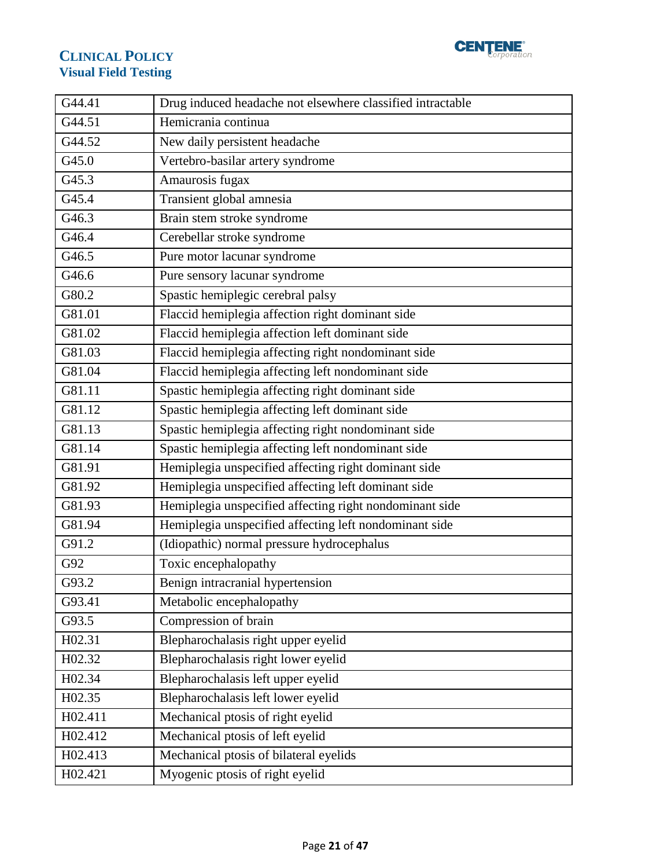

| G44.41  | Drug induced headache not elsewhere classified intractable |
|---------|------------------------------------------------------------|
| G44.51  | Hemicrania continua                                        |
| G44.52  | New daily persistent headache                              |
| G45.0   | Vertebro-basilar artery syndrome                           |
| G45.3   | Amaurosis fugax                                            |
| G45.4   | Transient global amnesia                                   |
| G46.3   | Brain stem stroke syndrome                                 |
| G46.4   | Cerebellar stroke syndrome                                 |
| G46.5   | Pure motor lacunar syndrome                                |
| G46.6   | Pure sensory lacunar syndrome                              |
| G80.2   | Spastic hemiplegic cerebral palsy                          |
| G81.01  | Flaccid hemiplegia affection right dominant side           |
| G81.02  | Flaccid hemiplegia affection left dominant side            |
| G81.03  | Flaccid hemiplegia affecting right nondominant side        |
| G81.04  | Flaccid hemiplegia affecting left nondominant side         |
| G81.11  | Spastic hemiplegia affecting right dominant side           |
| G81.12  | Spastic hemiplegia affecting left dominant side            |
| G81.13  | Spastic hemiplegia affecting right nondominant side        |
| G81.14  | Spastic hemiplegia affecting left nondominant side         |
| G81.91  | Hemiplegia unspecified affecting right dominant side       |
| G81.92  | Hemiplegia unspecified affecting left dominant side        |
| G81.93  | Hemiplegia unspecified affecting right nondominant side    |
| G81.94  | Hemiplegia unspecified affecting left nondominant side     |
| G91.2   | (Idiopathic) normal pressure hydrocephalus                 |
| G92     | Toxic encephalopathy                                       |
| G93.2   | Benign intracranial hypertension                           |
| G93.41  | Metabolic encephalopathy                                   |
| G93.5   | Compression of brain                                       |
| H02.31  | Blepharochalasis right upper eyelid                        |
| H02.32  | Blepharochalasis right lower eyelid                        |
| H02.34  | Blepharochalasis left upper eyelid                         |
| H02.35  | Blepharochalasis left lower eyelid                         |
| H02.411 | Mechanical ptosis of right eyelid                          |
| H02.412 | Mechanical ptosis of left eyelid                           |
| H02.413 | Mechanical ptosis of bilateral eyelids                     |
| H02.421 | Myogenic ptosis of right eyelid                            |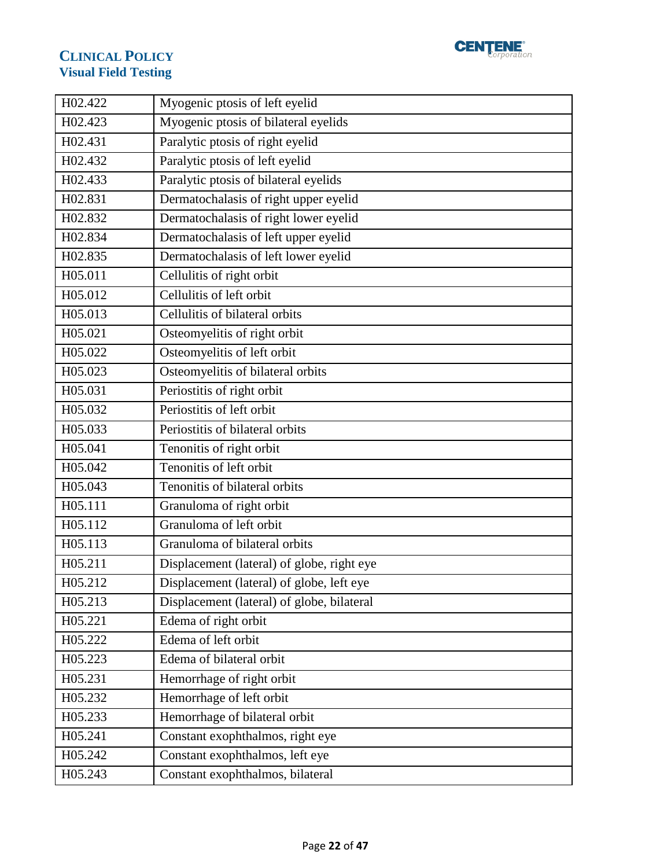

| H02.422              | Myogenic ptosis of left eyelid             |
|----------------------|--------------------------------------------|
| H02.423              | Myogenic ptosis of bilateral eyelids       |
| H02.431              | Paralytic ptosis of right eyelid           |
| H02.432              | Paralytic ptosis of left eyelid            |
| H02.433              | Paralytic ptosis of bilateral eyelids      |
| H02.831              | Dermatochalasis of right upper eyelid      |
| H02.832              | Dermatochalasis of right lower eyelid      |
| H02.834              | Dermatochalasis of left upper eyelid       |
| H02.835              | Dermatochalasis of left lower eyelid       |
| H05.011              | Cellulitis of right orbit                  |
| H05.012              | Cellulitis of left orbit                   |
| H05.013              | Cellulitis of bilateral orbits             |
| H05.021              | Osteomyelitis of right orbit               |
| H05.022              | Osteomyelitis of left orbit                |
| H05.023              | Osteomyelitis of bilateral orbits          |
| H05.031              | Periostitis of right orbit                 |
| H05.032              | Periostitis of left orbit                  |
| H05.033              | Periostitis of bilateral orbits            |
| $\overline{H05.041}$ | Tenonitis of right orbit                   |
| H05.042              | Tenonitis of left orbit                    |
| H05.043              | Tenonitis of bilateral orbits              |
| H05.111              | Granuloma of right orbit                   |
| H05.112              | Granuloma of left orbit                    |
| H05.113              | Granuloma of bilateral orbits              |
| H05.211              | Displacement (lateral) of globe, right eye |
| H05.212              | Displacement (lateral) of globe, left eye  |
| H05.213              | Displacement (lateral) of globe, bilateral |
| H05.221              | Edema of right orbit                       |
| H05.222              | Edema of left orbit                        |
| H05.223              | Edema of bilateral orbit                   |
| H05.231              | Hemorrhage of right orbit                  |
| H05.232              | Hemorrhage of left orbit                   |
| H05.233              | Hemorrhage of bilateral orbit              |
| H05.241              | Constant exophthalmos, right eye           |
| H05.242              | Constant exophthalmos, left eye            |
| H05.243              | Constant exophthalmos, bilateral           |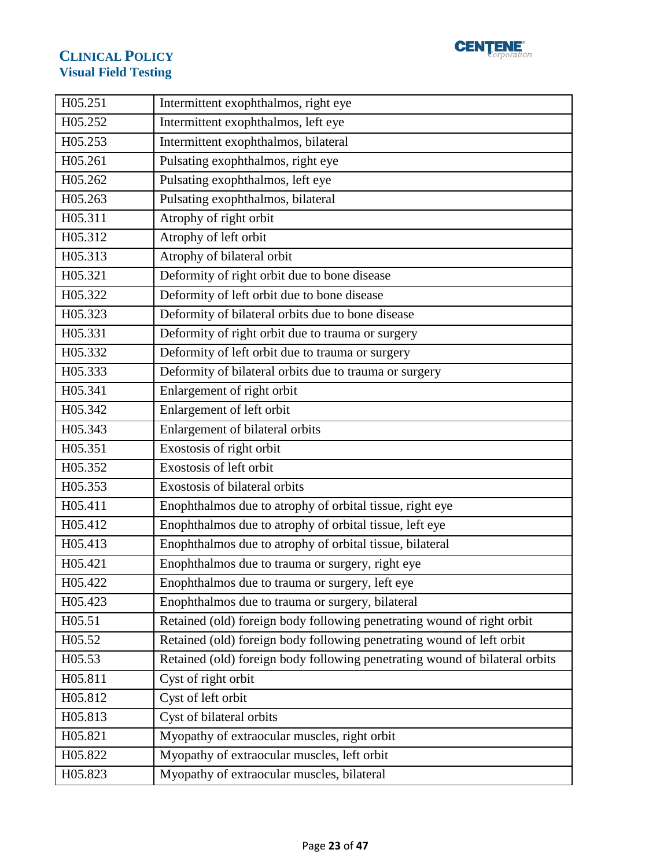

| H05.251             | Intermittent exophthalmos, right eye                                        |
|---------------------|-----------------------------------------------------------------------------|
| H05.252             | Intermittent exophthalmos, left eye                                         |
| H05.253             | Intermittent exophthalmos, bilateral                                        |
| H05.261             | Pulsating exophthalmos, right eye                                           |
| H05.262             | Pulsating exophthalmos, left eye                                            |
| H05.263             | Pulsating exophthalmos, bilateral                                           |
| H05.311             | Atrophy of right orbit                                                      |
| H05.312             | Atrophy of left orbit                                                       |
| H05.313             | Atrophy of bilateral orbit                                                  |
| H05.321             | Deformity of right orbit due to bone disease                                |
| H05.322             | Deformity of left orbit due to bone disease                                 |
| H05.323             | Deformity of bilateral orbits due to bone disease                           |
| H05.331             | Deformity of right orbit due to trauma or surgery                           |
| H05.332             | Deformity of left orbit due to trauma or surgery                            |
| H05.333             | Deformity of bilateral orbits due to trauma or surgery                      |
| H05.341             | Enlargement of right orbit                                                  |
| H05.342             | Enlargement of left orbit                                                   |
| H05.343             | Enlargement of bilateral orbits                                             |
| H05.351             | Exostosis of right orbit                                                    |
| H05.352             | Exostosis of left orbit                                                     |
| H05.353             | Exostosis of bilateral orbits                                               |
| H05.411             | Enophthalmos due to atrophy of orbital tissue, right eye                    |
| H05.412             | Enophthalmos due to atrophy of orbital tissue, left eye                     |
| H05.413             | Enophthalmos due to atrophy of orbital tissue, bilateral                    |
| H05.421             | Enophthalmos due to trauma or surgery, right eye                            |
| H <sub>05.422</sub> | Enophthalmos due to trauma or surgery, left eye                             |
| H05.423             | Enophthalmos due to trauma or surgery, bilateral                            |
| H05.51              | Retained (old) foreign body following penetrating wound of right orbit      |
| H05.52              | Retained (old) foreign body following penetrating wound of left orbit       |
| H05.53              | Retained (old) foreign body following penetrating wound of bilateral orbits |
| H05.811             | Cyst of right orbit                                                         |
| H05.812             | Cyst of left orbit                                                          |
| H05.813             | Cyst of bilateral orbits                                                    |
| H05.821             | Myopathy of extraocular muscles, right orbit                                |
| H05.822             | Myopathy of extraocular muscles, left orbit                                 |
| H05.823             | Myopathy of extraocular muscles, bilateral                                  |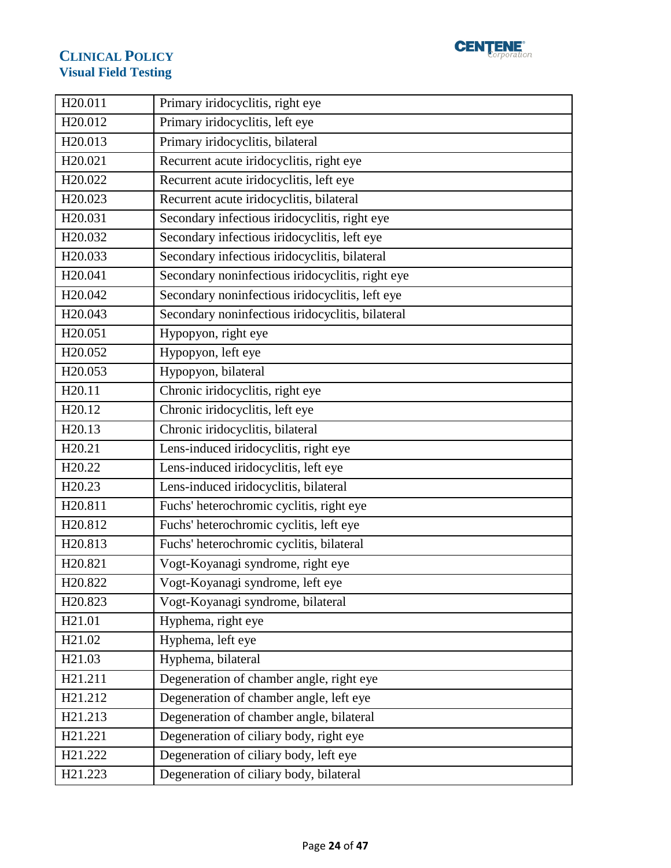

| H20.011             | Primary iridocyclitis, right eye                 |
|---------------------|--------------------------------------------------|
| H20.012             | Primary iridocyclitis, left eye                  |
| H20.013             | Primary iridocyclitis, bilateral                 |
| H20.021             | Recurrent acute iridocyclitis, right eye         |
| H20.022             | Recurrent acute iridocyclitis, left eye          |
| H20.023             | Recurrent acute iridocyclitis, bilateral         |
| H20.031             | Secondary infectious iridocyclitis, right eye    |
| H20.032             | Secondary infectious iridocyclitis, left eye     |
| H20.033             | Secondary infectious iridocyclitis, bilateral    |
| H20.041             | Secondary noninfectious iridocyclitis, right eye |
| H20.042             | Secondary noninfectious iridocyclitis, left eye  |
| H <sub>20.043</sub> | Secondary noninfectious iridocyclitis, bilateral |
| H20.051             | Hypopyon, right eye                              |
| H20.052             | Hypopyon, left eye                               |
| H20.053             | Hypopyon, bilateral                              |
| H20.11              | Chronic iridocyclitis, right eye                 |
| H <sub>20.12</sub>  | Chronic iridocyclitis, left eye                  |
| H <sub>20.13</sub>  | Chronic iridocyclitis, bilateral                 |
| H20.21              | Lens-induced iridocyclitis, right eye            |
| H <sub>20.22</sub>  | Lens-induced iridocyclitis, left eye             |
| H <sub>20.23</sub>  | Lens-induced iridocyclitis, bilateral            |
| H20.811             | Fuchs' heterochromic cyclitis, right eye         |
| H20.812             | Fuchs' heterochromic cyclitis, left eye          |
| H20.813             | Fuchs' heterochromic cyclitis, bilateral         |
| H20.821             | Vogt-Koyanagi syndrome, right eye                |
| H20.822             | Vogt-Koyanagi syndrome, left eye                 |
| H <sub>20.823</sub> | Vogt-Koyanagi syndrome, bilateral                |
| H <sub>21.01</sub>  | Hyphema, right eye                               |
| H <sub>21.02</sub>  | Hyphema, left eye                                |
| H <sub>21.03</sub>  | Hyphema, bilateral                               |
| H21.211             | Degeneration of chamber angle, right eye         |
| H21.212             | Degeneration of chamber angle, left eye          |
| H21.213             | Degeneration of chamber angle, bilateral         |
| H21.221             | Degeneration of ciliary body, right eye          |
| H21.222             | Degeneration of ciliary body, left eye           |
| H21.223             | Degeneration of ciliary body, bilateral          |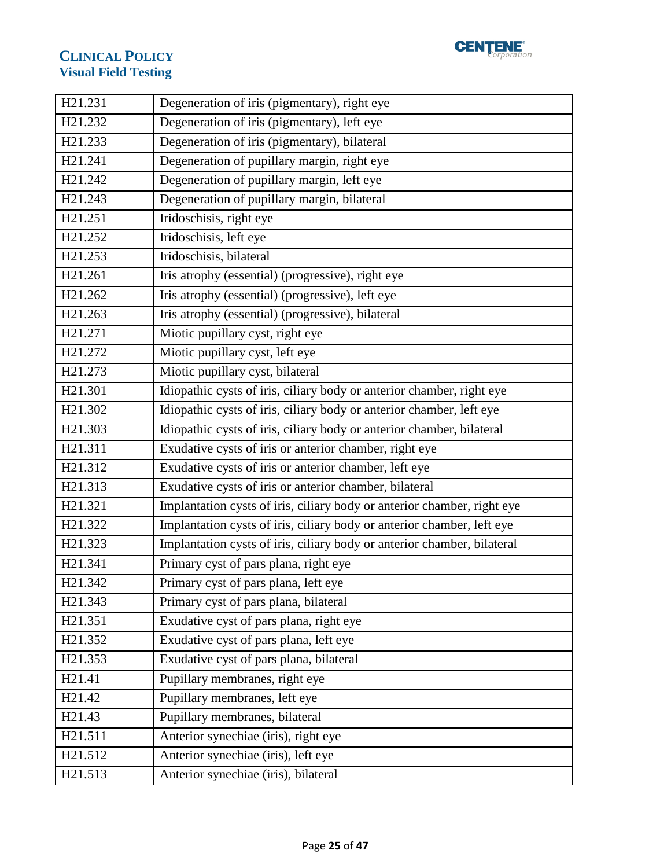

| H21.231             | Degeneration of iris (pigmentary), right eye                            |
|---------------------|-------------------------------------------------------------------------|
| H21.232             | Degeneration of iris (pigmentary), left eye                             |
| H21.233             | Degeneration of iris (pigmentary), bilateral                            |
| H21.241             | Degeneration of pupillary margin, right eye                             |
| H21.242             | Degeneration of pupillary margin, left eye                              |
| H <sub>21.243</sub> | Degeneration of pupillary margin, bilateral                             |
| H <sub>21.251</sub> | Iridoschisis, right eye                                                 |
| H21.252             | Iridoschisis, left eye                                                  |
| H21.253             | Iridoschisis, bilateral                                                 |
| H21.261             | Iris atrophy (essential) (progressive), right eye                       |
| H21.262             | Iris atrophy (essential) (progressive), left eye                        |
| H21.263             | Iris atrophy (essential) (progressive), bilateral                       |
| H21.271             | Miotic pupillary cyst, right eye                                        |
| H21.272             | Miotic pupillary cyst, left eye                                         |
| H21.273             | Miotic pupillary cyst, bilateral                                        |
| H21.301             | Idiopathic cysts of iris, ciliary body or anterior chamber, right eye   |
| H21.302             | Idiopathic cysts of iris, ciliary body or anterior chamber, left eye    |
| H21.303             | Idiopathic cysts of iris, ciliary body or anterior chamber, bilateral   |
| H21.311             | Exudative cysts of iris or anterior chamber, right eye                  |
| H21.312             | Exudative cysts of iris or anterior chamber, left eye                   |
| H21.313             | Exudative cysts of iris or anterior chamber, bilateral                  |
| H21.321             | Implantation cysts of iris, ciliary body or anterior chamber, right eye |
| H21.322             | Implantation cysts of iris, ciliary body or anterior chamber, left eye  |
| H21.323             | Implantation cysts of iris, ciliary body or anterior chamber, bilateral |
| H21.341             | Primary cyst of pars plana, right eye                                   |
| H <sub>21.342</sub> | Primary cyst of pars plana, left eye                                    |
| H <sub>21.343</sub> | Primary cyst of pars plana, bilateral                                   |
| H21.351             | Exudative cyst of pars plana, right eye                                 |
| H21.352             | Exudative cyst of pars plana, left eye                                  |
| H21.353             | Exudative cyst of pars plana, bilateral                                 |
| H <sub>21.41</sub>  | Pupillary membranes, right eye                                          |
| H <sub>21.42</sub>  | Pupillary membranes, left eye                                           |
| H <sub>21.43</sub>  | Pupillary membranes, bilateral                                          |
| H21.511             | Anterior synechiae (iris), right eye                                    |
| H21.512             | Anterior synechiae (iris), left eye                                     |
| H21.513             | Anterior synechiae (iris), bilateral                                    |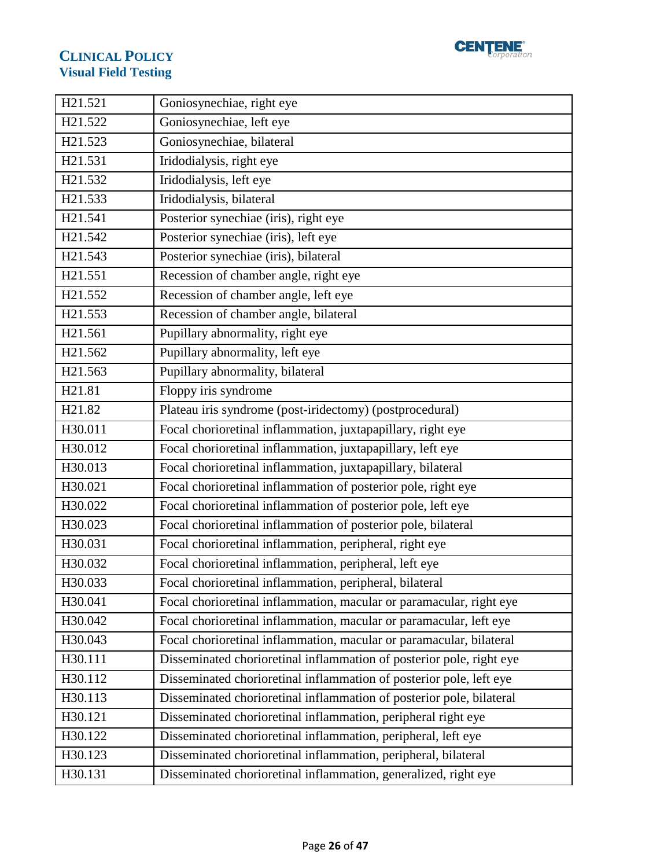

| H21.521            | Goniosynechiae, right eye                                            |
|--------------------|----------------------------------------------------------------------|
| H21.522            | Goniosynechiae, left eye                                             |
| H21.523            | Goniosynechiae, bilateral                                            |
| H21.531            | Iridodialysis, right eye                                             |
| H21.532            | Iridodialysis, left eye                                              |
| H21.533            | Iridodialysis, bilateral                                             |
| H21.541            | Posterior synechiae (iris), right eye                                |
| H21.542            | Posterior synechiae (iris), left eye                                 |
| H21.543            | Posterior synechiae (iris), bilateral                                |
| H21.551            | Recession of chamber angle, right eye                                |
| H21.552            | Recession of chamber angle, left eye                                 |
| H21.553            | Recession of chamber angle, bilateral                                |
| H21.561            | Pupillary abnormality, right eye                                     |
| H21.562            | Pupillary abnormality, left eye                                      |
| H21.563            | Pupillary abnormality, bilateral                                     |
| H <sub>21.81</sub> | Floppy iris syndrome                                                 |
| H <sub>21.82</sub> | Plateau iris syndrome (post-iridectomy) (postprocedural)             |
| H30.011            | Focal chorioretinal inflammation, juxtapapillary, right eye          |
| H30.012            | Focal chorioretinal inflammation, juxtapapillary, left eye           |
| H30.013            | Focal chorioretinal inflammation, juxtapapillary, bilateral          |
| H30.021            | Focal chorioretinal inflammation of posterior pole, right eye        |
| H30.022            | Focal chorioretinal inflammation of posterior pole, left eye         |
| H30.023            | Focal chorioretinal inflammation of posterior pole, bilateral        |
| H30.031            | Focal chorioretinal inflammation, peripheral, right eye              |
| H30.032            | Focal chorioretinal inflammation, peripheral, left eye               |
| H30.033            | Focal chorioretinal inflammation, peripheral, bilateral              |
| H30.041            | Focal chorioretinal inflammation, macular or paramacular, right eye  |
| H30.042            | Focal chorioretinal inflammation, macular or paramacular, left eye   |
| H30.043            | Focal chorioretinal inflammation, macular or paramacular, bilateral  |
| H30.111            | Disseminated chorioretinal inflammation of posterior pole, right eye |
| H30.112            | Disseminated chorioretinal inflammation of posterior pole, left eye  |
| H30.113            | Disseminated chorioretinal inflammation of posterior pole, bilateral |
| H30.121            | Disseminated chorioretinal inflammation, peripheral right eye        |
| H30.122            | Disseminated chorioretinal inflammation, peripheral, left eye        |
| H30.123            | Disseminated chorioretinal inflammation, peripheral, bilateral       |
| H30.131            | Disseminated chorioretinal inflammation, generalized, right eye      |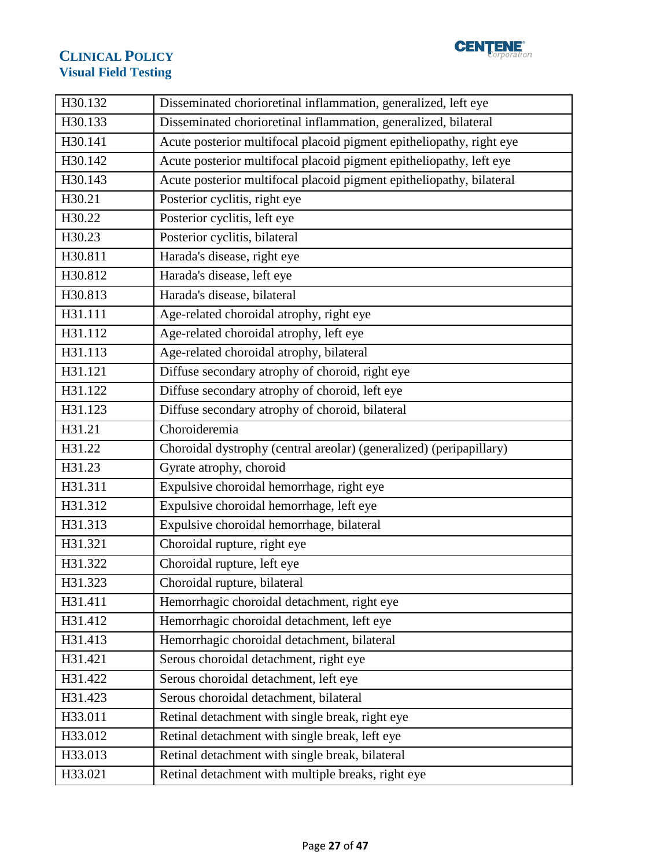



| H30.132 | Disseminated chorioretinal inflammation, generalized, left eye       |
|---------|----------------------------------------------------------------------|
| H30.133 | Disseminated chorioretinal inflammation, generalized, bilateral      |
| H30.141 | Acute posterior multifocal placoid pigment epitheliopathy, right eye |
| H30.142 | Acute posterior multifocal placoid pigment epitheliopathy, left eye  |
| H30.143 | Acute posterior multifocal placoid pigment epitheliopathy, bilateral |
| H30.21  | Posterior cyclitis, right eye                                        |
| H30.22  | Posterior cyclitis, left eye                                         |
| H30.23  | Posterior cyclitis, bilateral                                        |
| H30.811 | Harada's disease, right eye                                          |
| H30.812 | Harada's disease, left eye                                           |
| H30.813 | Harada's disease, bilateral                                          |
| H31.111 | Age-related choroidal atrophy, right eye                             |
| H31.112 | Age-related choroidal atrophy, left eye                              |
| H31.113 | Age-related choroidal atrophy, bilateral                             |
| H31.121 | Diffuse secondary atrophy of choroid, right eye                      |
| H31.122 | Diffuse secondary atrophy of choroid, left eye                       |
| H31.123 | Diffuse secondary atrophy of choroid, bilateral                      |
| H31.21  | Choroideremia                                                        |
| H31.22  | Choroidal dystrophy (central areolar) (generalized) (peripapillary)  |
| H31.23  | Gyrate atrophy, choroid                                              |
| H31.311 | Expulsive choroidal hemorrhage, right eye                            |
| H31.312 | Expulsive choroidal hemorrhage, left eye                             |
| H31.313 | Expulsive choroidal hemorrhage, bilateral                            |
| H31.321 | Choroidal rupture, right eye                                         |
| H31.322 | Choroidal rupture, left eye                                          |
| H31.323 | Choroidal rupture, bilateral                                         |
| H31.411 | Hemorrhagic choroidal detachment, right eye                          |
| H31.412 | Hemorrhagic choroidal detachment, left eye                           |
| H31.413 | Hemorrhagic choroidal detachment, bilateral                          |
| H31.421 | Serous choroidal detachment, right eye                               |
| H31.422 | Serous choroidal detachment, left eye                                |
| H31.423 | Serous choroidal detachment, bilateral                               |
| H33.011 | Retinal detachment with single break, right eye                      |
| H33.012 | Retinal detachment with single break, left eye                       |
| H33.013 | Retinal detachment with single break, bilateral                      |
| H33.021 | Retinal detachment with multiple breaks, right eye                   |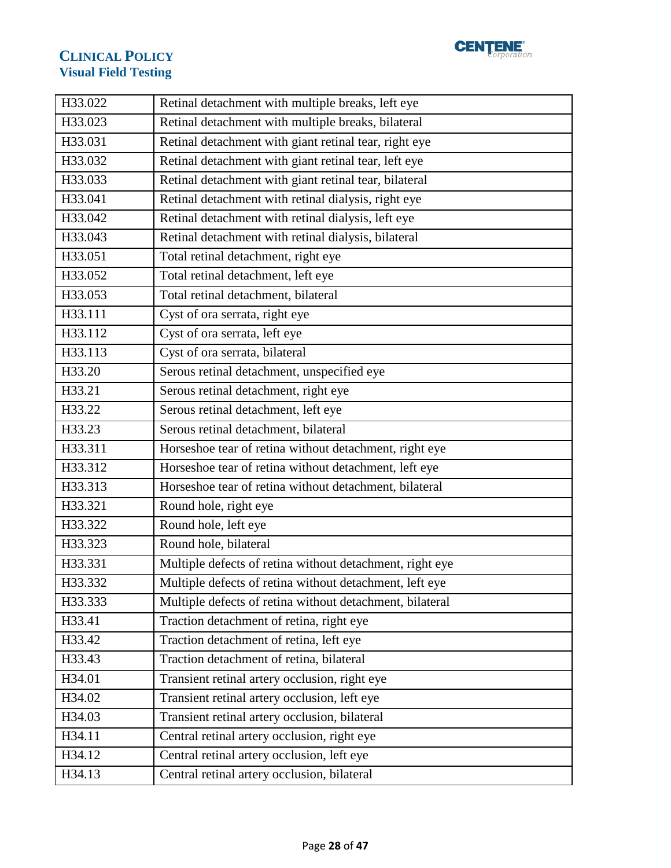

| H33.022 | Retinal detachment with multiple breaks, left eye        |
|---------|----------------------------------------------------------|
| H33.023 | Retinal detachment with multiple breaks, bilateral       |
| H33.031 | Retinal detachment with giant retinal tear, right eye    |
| H33.032 | Retinal detachment with giant retinal tear, left eye     |
| H33.033 | Retinal detachment with giant retinal tear, bilateral    |
| H33.041 | Retinal detachment with retinal dialysis, right eye      |
| H33.042 | Retinal detachment with retinal dialysis, left eye       |
| H33.043 | Retinal detachment with retinal dialysis, bilateral      |
| H33.051 | Total retinal detachment, right eye                      |
| H33.052 | Total retinal detachment, left eye                       |
| H33.053 | Total retinal detachment, bilateral                      |
| H33.111 | Cyst of ora serrata, right eye                           |
| H33.112 | Cyst of ora serrata, left eye                            |
| H33.113 | Cyst of ora serrata, bilateral                           |
| H33.20  | Serous retinal detachment, unspecified eye               |
| H33.21  | Serous retinal detachment, right eye                     |
| H33.22  | Serous retinal detachment, left eye                      |
| H33.23  | Serous retinal detachment, bilateral                     |
| H33.311 | Horseshoe tear of retina without detachment, right eye   |
| H33.312 | Horseshoe tear of retina without detachment, left eye    |
| H33.313 | Horseshoe tear of retina without detachment, bilateral   |
| H33.321 | Round hole, right eye                                    |
| H33.322 | Round hole, left eye                                     |
| H33.323 | Round hole, bilateral                                    |
| H33.331 | Multiple defects of retina without detachment, right eye |
| H33.332 | Multiple defects of retina without detachment, left eye  |
| H33.333 | Multiple defects of retina without detachment, bilateral |
| H33.41  | Traction detachment of retina, right eye                 |
| H33.42  | Traction detachment of retina, left eye                  |
| H33.43  | Traction detachment of retina, bilateral                 |
| H34.01  | Transient retinal artery occlusion, right eye            |
| H34.02  | Transient retinal artery occlusion, left eye             |
| H34.03  | Transient retinal artery occlusion, bilateral            |
| H34.11  | Central retinal artery occlusion, right eye              |
| H34.12  | Central retinal artery occlusion, left eye               |
| H34.13  | Central retinal artery occlusion, bilateral              |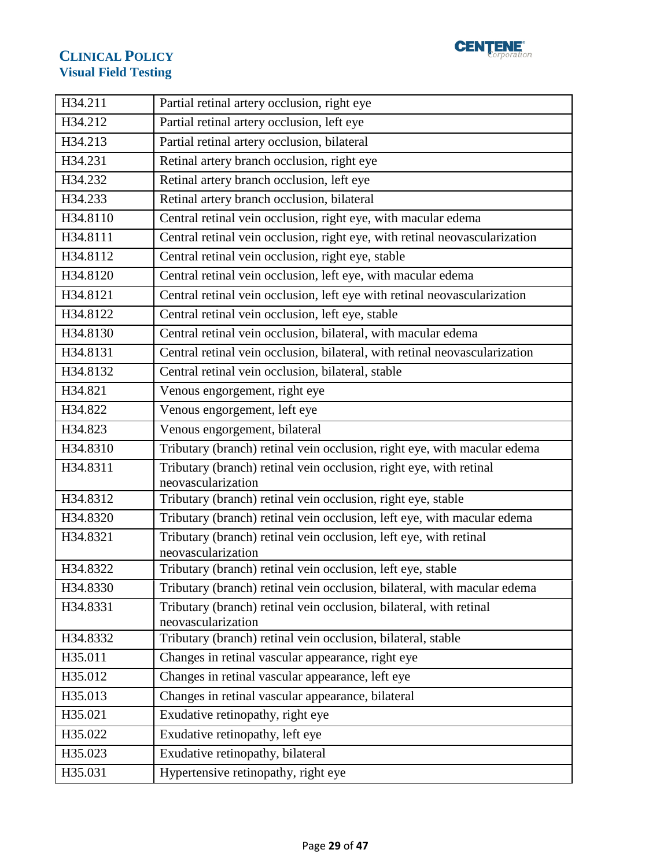

| H34.211  | Partial retinal artery occlusion, right eye                                       |
|----------|-----------------------------------------------------------------------------------|
| H34.212  | Partial retinal artery occlusion, left eye                                        |
| H34.213  | Partial retinal artery occlusion, bilateral                                       |
| H34.231  | Retinal artery branch occlusion, right eye                                        |
| H34.232  | Retinal artery branch occlusion, left eye                                         |
| H34.233  | Retinal artery branch occlusion, bilateral                                        |
| H34.8110 | Central retinal vein occlusion, right eye, with macular edema                     |
| H34.8111 | Central retinal vein occlusion, right eye, with retinal neovascularization        |
| H34.8112 | Central retinal vein occlusion, right eye, stable                                 |
| H34.8120 | Central retinal vein occlusion, left eye, with macular edema                      |
| H34.8121 | Central retinal vein occlusion, left eye with retinal neovascularization          |
| H34.8122 | Central retinal vein occlusion, left eye, stable                                  |
| H34.8130 | Central retinal vein occlusion, bilateral, with macular edema                     |
| H34.8131 | Central retinal vein occlusion, bilateral, with retinal neovascularization        |
| H34.8132 | Central retinal vein occlusion, bilateral, stable                                 |
| H34.821  | Venous engorgement, right eye                                                     |
| H34.822  | Venous engorgement, left eye                                                      |
| H34.823  | Venous engorgement, bilateral                                                     |
| H34.8310 | Tributary (branch) retinal vein occlusion, right eye, with macular edema          |
| H34.8311 | Tributary (branch) retinal vein occlusion, right eye, with retinal                |
|          | neovascularization                                                                |
| H34.8312 | Tributary (branch) retinal vein occlusion, right eye, stable                      |
| H34.8320 | Tributary (branch) retinal vein occlusion, left eye, with macular edema           |
| H34.8321 | Tributary (branch) retinal vein occlusion, left eye, with retinal                 |
| H34.8322 | neovascularization<br>Tributary (branch) retinal vein occlusion, left eye, stable |
| H34.8330 | Tributary (branch) retinal vein occlusion, bilateral, with macular edema          |
| H34.8331 | Tributary (branch) retinal vein occlusion, bilateral, with retinal                |
|          | neovascularization                                                                |
| H34.8332 | Tributary (branch) retinal vein occlusion, bilateral, stable                      |
| H35.011  | Changes in retinal vascular appearance, right eye                                 |
| H35.012  | Changes in retinal vascular appearance, left eye                                  |
| H35.013  | Changes in retinal vascular appearance, bilateral                                 |
| H35.021  | Exudative retinopathy, right eye                                                  |
| H35.022  | Exudative retinopathy, left eye                                                   |
| H35.023  | Exudative retinopathy, bilateral                                                  |
| H35.031  | Hypertensive retinopathy, right eye                                               |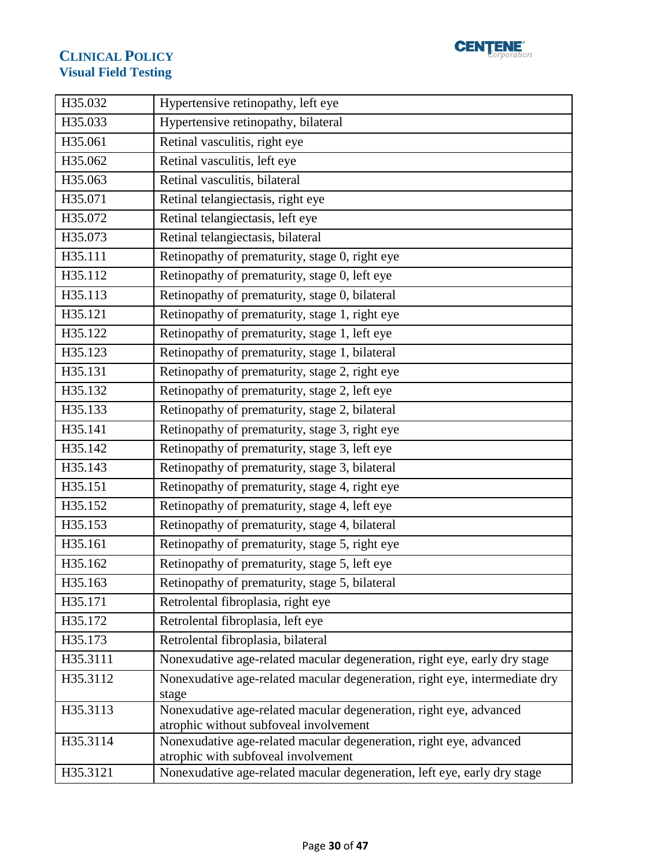

| H35.032  | Hypertensive retinopathy, left eye                                                                           |
|----------|--------------------------------------------------------------------------------------------------------------|
| H35.033  | Hypertensive retinopathy, bilateral                                                                          |
| H35.061  | Retinal vasculitis, right eye                                                                                |
| H35.062  | Retinal vasculitis, left eye                                                                                 |
| H35.063  | Retinal vasculitis, bilateral                                                                                |
| H35.071  | Retinal telangiectasis, right eye                                                                            |
| H35.072  | Retinal telangiectasis, left eye                                                                             |
| H35.073  | Retinal telangiectasis, bilateral                                                                            |
| H35.111  | Retinopathy of prematurity, stage 0, right eye                                                               |
| H35.112  | Retinopathy of prematurity, stage 0, left eye                                                                |
| H35.113  | Retinopathy of prematurity, stage 0, bilateral                                                               |
| H35.121  | Retinopathy of prematurity, stage 1, right eye                                                               |
| H35.122  | Retinopathy of prematurity, stage 1, left eye                                                                |
| H35.123  | Retinopathy of prematurity, stage 1, bilateral                                                               |
| H35.131  | Retinopathy of prematurity, stage 2, right eye                                                               |
| H35.132  | Retinopathy of prematurity, stage 2, left eye                                                                |
| H35.133  | Retinopathy of prematurity, stage 2, bilateral                                                               |
| H35.141  | Retinopathy of prematurity, stage 3, right eye                                                               |
| H35.142  | Retinopathy of prematurity, stage 3, left eye                                                                |
| H35.143  | Retinopathy of prematurity, stage 3, bilateral                                                               |
| H35.151  | Retinopathy of prematurity, stage 4, right eye                                                               |
| H35.152  | Retinopathy of prematurity, stage 4, left eye                                                                |
| H35.153  | Retinopathy of prematurity, stage 4, bilateral                                                               |
| H35.161  | Retinopathy of prematurity, stage 5, right eye                                                               |
| H35.162  | Retinopathy of prematurity, stage 5, left eye                                                                |
| H35.163  | Retinopathy of prematurity, stage 5, bilateral                                                               |
| H35.171  | Retrolental fibroplasia, right eye                                                                           |
| H35.172  | Retrolental fibroplasia, left eye                                                                            |
| H35.173  | Retrolental fibroplasia, bilateral                                                                           |
| H35.3111 | Nonexudative age-related macular degeneration, right eye, early dry stage                                    |
| H35.3112 | Nonexudative age-related macular degeneration, right eye, intermediate dry<br>stage                          |
| H35.3113 | Nonexudative age-related macular degeneration, right eye, advanced<br>atrophic without subfoveal involvement |
| H35.3114 | Nonexudative age-related macular degeneration, right eye, advanced<br>atrophic with subfoveal involvement    |
| H35.3121 | Nonexudative age-related macular degeneration, left eye, early dry stage                                     |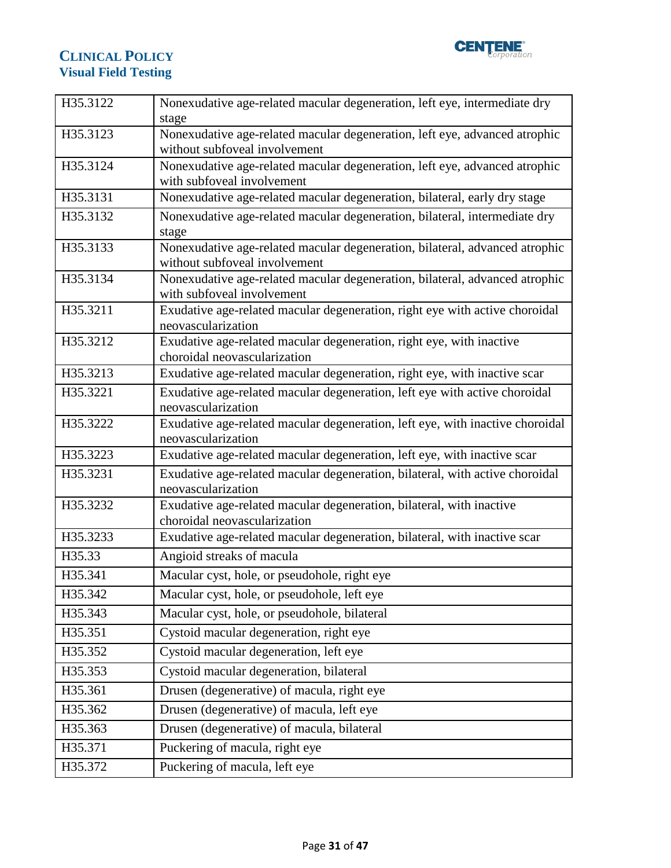

| H35.3122 | Nonexudative age-related macular degeneration, left eye, intermediate dry<br>stage                        |
|----------|-----------------------------------------------------------------------------------------------------------|
| H35.3123 | Nonexudative age-related macular degeneration, left eye, advanced atrophic                                |
|          | without subfoveal involvement                                                                             |
| H35.3124 | Nonexudative age-related macular degeneration, left eye, advanced atrophic<br>with subfoveal involvement  |
| H35.3131 | Nonexudative age-related macular degeneration, bilateral, early dry stage                                 |
|          |                                                                                                           |
| H35.3132 | Nonexudative age-related macular degeneration, bilateral, intermediate dry<br>stage                       |
| H35.3133 | Nonexudative age-related macular degeneration, bilateral, advanced atrophic                               |
|          | without subfoveal involvement                                                                             |
| H35.3134 | Nonexudative age-related macular degeneration, bilateral, advanced atrophic<br>with subfoveal involvement |
| H35.3211 | Exudative age-related macular degeneration, right eye with active choroidal                               |
|          | neovascularization                                                                                        |
| H35.3212 | Exudative age-related macular degeneration, right eye, with inactive                                      |
|          | choroidal neovascularization                                                                              |
| H35.3213 | Exudative age-related macular degeneration, right eye, with inactive scar                                 |
| H35.3221 | Exudative age-related macular degeneration, left eye with active choroidal                                |
|          | neovascularization                                                                                        |
| H35.3222 | Exudative age-related macular degeneration, left eye, with inactive choroidal                             |
|          | neovascularization                                                                                        |
| H35.3223 | Exudative age-related macular degeneration, left eye, with inactive scar                                  |
| H35.3231 | Exudative age-related macular degeneration, bilateral, with active choroidal<br>neovascularization        |
| H35.3232 | Exudative age-related macular degeneration, bilateral, with inactive                                      |
|          | choroidal neovascularization                                                                              |
| H35.3233 | Exudative age-related macular degeneration, bilateral, with inactive scar                                 |
| H35.33   | Angioid streaks of macula                                                                                 |
| H35.341  | Macular cyst, hole, or pseudohole, right eye                                                              |
| H35.342  | Macular cyst, hole, or pseudohole, left eye                                                               |
| H35.343  | Macular cyst, hole, or pseudohole, bilateral                                                              |
| H35.351  | Cystoid macular degeneration, right eye                                                                   |
| H35.352  | Cystoid macular degeneration, left eye                                                                    |
| H35.353  | Cystoid macular degeneration, bilateral                                                                   |
| H35.361  | Drusen (degenerative) of macula, right eye                                                                |
| H35.362  | Drusen (degenerative) of macula, left eye                                                                 |
| H35.363  | Drusen (degenerative) of macula, bilateral                                                                |
| H35.371  | Puckering of macula, right eye                                                                            |
| H35.372  | Puckering of macula, left eye                                                                             |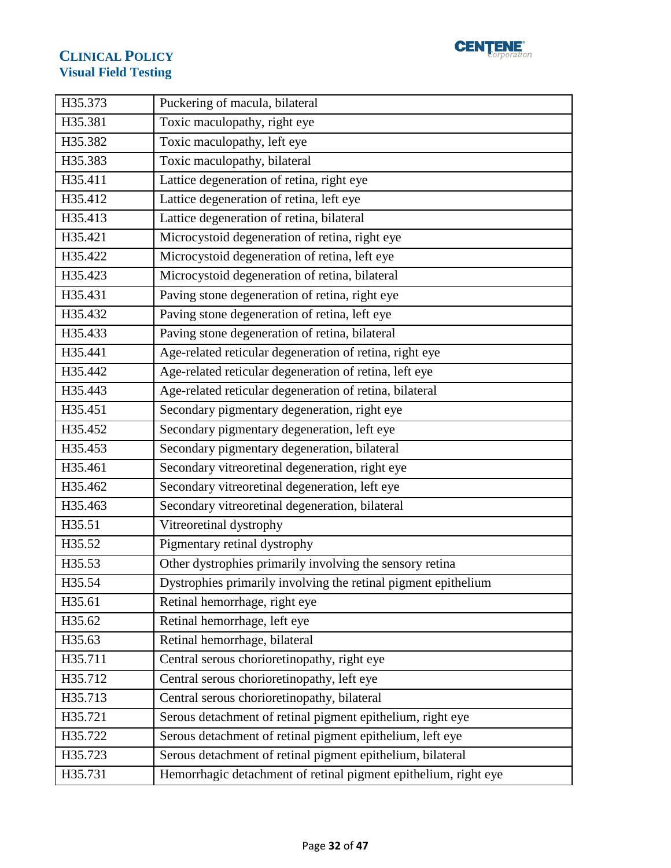

| H35.373 | Puckering of macula, bilateral                                  |
|---------|-----------------------------------------------------------------|
| H35.381 | Toxic maculopathy, right eye                                    |
| H35.382 | Toxic maculopathy, left eye                                     |
| H35.383 | Toxic maculopathy, bilateral                                    |
| H35.411 | Lattice degeneration of retina, right eye                       |
| H35.412 | Lattice degeneration of retina, left eye                        |
| H35.413 | Lattice degeneration of retina, bilateral                       |
| H35.421 | Microcystoid degeneration of retina, right eye                  |
| H35.422 | Microcystoid degeneration of retina, left eye                   |
| H35.423 | Microcystoid degeneration of retina, bilateral                  |
| H35.431 | Paving stone degeneration of retina, right eye                  |
| H35.432 | Paving stone degeneration of retina, left eye                   |
| H35.433 | Paving stone degeneration of retina, bilateral                  |
| H35.441 | Age-related reticular degeneration of retina, right eye         |
| H35.442 | Age-related reticular degeneration of retina, left eye          |
| H35.443 | Age-related reticular degeneration of retina, bilateral         |
| H35.451 | Secondary pigmentary degeneration, right eye                    |
| H35.452 | Secondary pigmentary degeneration, left eye                     |
| H35.453 | Secondary pigmentary degeneration, bilateral                    |
| H35.461 | Secondary vitreoretinal degeneration, right eye                 |
| H35.462 | Secondary vitreoretinal degeneration, left eye                  |
| H35.463 | Secondary vitreoretinal degeneration, bilateral                 |
| H35.51  | Vitreoretinal dystrophy                                         |
| H35.52  | Pigmentary retinal dystrophy                                    |
| H35.53  | Other dystrophies primarily involving the sensory retina        |
| H35.54  | Dystrophies primarily involving the retinal pigment epithelium  |
| H35.61  | Retinal hemorrhage, right eye                                   |
| H35.62  | Retinal hemorrhage, left eye                                    |
| H35.63  | Retinal hemorrhage, bilateral                                   |
| H35.711 | Central serous chorioretinopathy, right eye                     |
| H35.712 | Central serous chorioretinopathy, left eye                      |
| H35.713 | Central serous chorioretinopathy, bilateral                     |
| H35.721 | Serous detachment of retinal pigment epithelium, right eye      |
| H35.722 | Serous detachment of retinal pigment epithelium, left eye       |
| H35.723 | Serous detachment of retinal pigment epithelium, bilateral      |
| H35.731 | Hemorrhagic detachment of retinal pigment epithelium, right eye |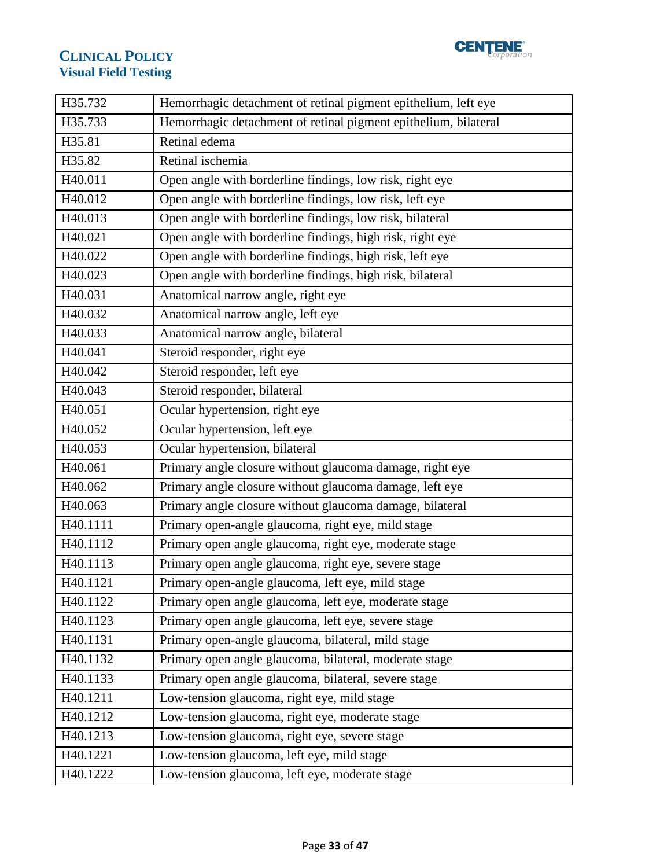

| H35.732  | Hemorrhagic detachment of retinal pigment epithelium, left eye  |
|----------|-----------------------------------------------------------------|
| H35.733  | Hemorrhagic detachment of retinal pigment epithelium, bilateral |
| H35.81   | Retinal edema                                                   |
| H35.82   | Retinal ischemia                                                |
| H40.011  | Open angle with borderline findings, low risk, right eye        |
| H40.012  | Open angle with borderline findings, low risk, left eye         |
| H40.013  | Open angle with borderline findings, low risk, bilateral        |
| H40.021  | Open angle with borderline findings, high risk, right eye       |
| H40.022  | Open angle with borderline findings, high risk, left eye        |
| H40.023  | Open angle with borderline findings, high risk, bilateral       |
| H40.031  | Anatomical narrow angle, right eye                              |
| H40.032  | Anatomical narrow angle, left eye                               |
| H40.033  | Anatomical narrow angle, bilateral                              |
| H40.041  | Steroid responder, right eye                                    |
| H40.042  | Steroid responder, left eye                                     |
| H40.043  | Steroid responder, bilateral                                    |
| H40.051  | Ocular hypertension, right eye                                  |
| H40.052  | Ocular hypertension, left eye                                   |
|          |                                                                 |
| H40.053  | Ocular hypertension, bilateral                                  |
| H40.061  | Primary angle closure without glaucoma damage, right eye        |
| H40.062  | Primary angle closure without glaucoma damage, left eye         |
| H40.063  | Primary angle closure without glaucoma damage, bilateral        |
| H40.1111 | Primary open-angle glaucoma, right eye, mild stage              |
| H40.1112 | Primary open angle glaucoma, right eye, moderate stage          |
| H40.1113 | Primary open angle glaucoma, right eye, severe stage            |
| H40.1121 | Primary open-angle glaucoma, left eye, mild stage               |
| H40.1122 | Primary open angle glaucoma, left eye, moderate stage           |
| H40.1123 | Primary open angle glaucoma, left eye, severe stage             |
| H40.1131 | Primary open-angle glaucoma, bilateral, mild stage              |
| H40.1132 | Primary open angle glaucoma, bilateral, moderate stage          |
| H40.1133 | Primary open angle glaucoma, bilateral, severe stage            |
| H40.1211 | Low-tension glaucoma, right eye, mild stage                     |
| H40.1212 | Low-tension glaucoma, right eye, moderate stage                 |
| H40.1213 | Low-tension glaucoma, right eye, severe stage                   |
| H40.1221 | Low-tension glaucoma, left eye, mild stage                      |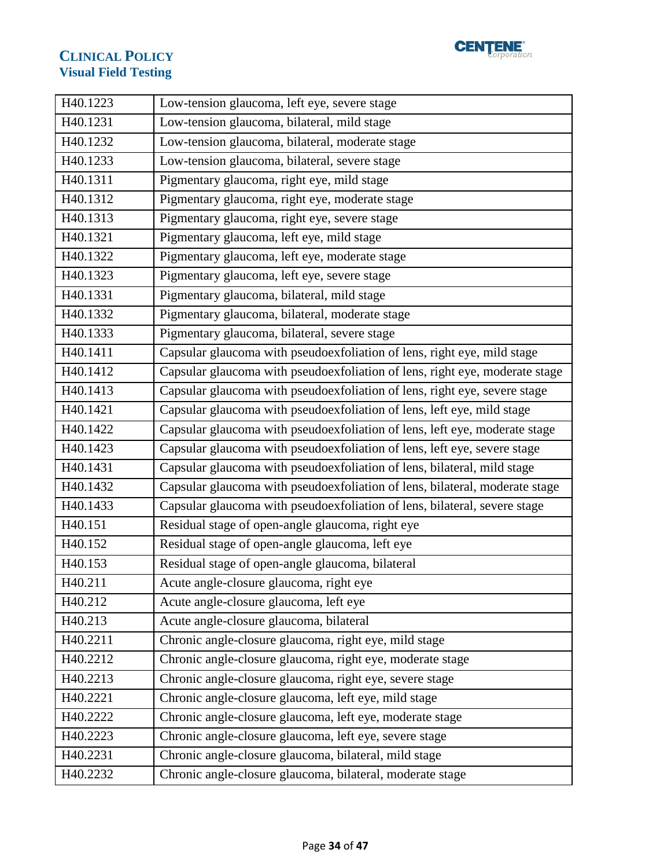

| H40.1223 | Low-tension glaucoma, left eye, severe stage                                |
|----------|-----------------------------------------------------------------------------|
| H40.1231 | Low-tension glaucoma, bilateral, mild stage                                 |
| H40.1232 | Low-tension glaucoma, bilateral, moderate stage                             |
| H40.1233 | Low-tension glaucoma, bilateral, severe stage                               |
| H40.1311 | Pigmentary glaucoma, right eye, mild stage                                  |
| H40.1312 | Pigmentary glaucoma, right eye, moderate stage                              |
| H40.1313 | Pigmentary glaucoma, right eye, severe stage                                |
| H40.1321 | Pigmentary glaucoma, left eye, mild stage                                   |
| H40.1322 | Pigmentary glaucoma, left eye, moderate stage                               |
| H40.1323 | Pigmentary glaucoma, left eye, severe stage                                 |
| H40.1331 | Pigmentary glaucoma, bilateral, mild stage                                  |
| H40.1332 | Pigmentary glaucoma, bilateral, moderate stage                              |
| H40.1333 | Pigmentary glaucoma, bilateral, severe stage                                |
| H40.1411 | Capsular glaucoma with pseudoexfoliation of lens, right eye, mild stage     |
| H40.1412 | Capsular glaucoma with pseudoexfoliation of lens, right eye, moderate stage |
| H40.1413 | Capsular glaucoma with pseudoexfoliation of lens, right eye, severe stage   |
| H40.1421 | Capsular glaucoma with pseudoexfoliation of lens, left eye, mild stage      |
| H40.1422 | Capsular glaucoma with pseudoexfoliation of lens, left eye, moderate stage  |
| H40.1423 | Capsular glaucoma with pseudoexfoliation of lens, left eye, severe stage    |
| H40.1431 | Capsular glaucoma with pseudoexfoliation of lens, bilateral, mild stage     |
| H40.1432 | Capsular glaucoma with pseudoexfoliation of lens, bilateral, moderate stage |
| H40.1433 | Capsular glaucoma with pseudoexfoliation of lens, bilateral, severe stage   |
| H40.151  | Residual stage of open-angle glaucoma, right eye                            |
| H40.152  | Residual stage of open-angle glaucoma, left eye                             |
| H40.153  | Residual stage of open-angle glaucoma, bilateral                            |
| H40.211  | Acute angle-closure glaucoma, right eye                                     |
| H40.212  | Acute angle-closure glaucoma, left eye                                      |
| H40.213  | Acute angle-closure glaucoma, bilateral                                     |
| H40.2211 | Chronic angle-closure glaucoma, right eye, mild stage                       |
| H40.2212 | Chronic angle-closure glaucoma, right eye, moderate stage                   |
| H40.2213 | Chronic angle-closure glaucoma, right eye, severe stage                     |
| H40.2221 | Chronic angle-closure glaucoma, left eye, mild stage                        |
| H40.2222 | Chronic angle-closure glaucoma, left eye, moderate stage                    |
| H40.2223 | Chronic angle-closure glaucoma, left eye, severe stage                      |
| H40.2231 | Chronic angle-closure glaucoma, bilateral, mild stage                       |
| H40.2232 | Chronic angle-closure glaucoma, bilateral, moderate stage                   |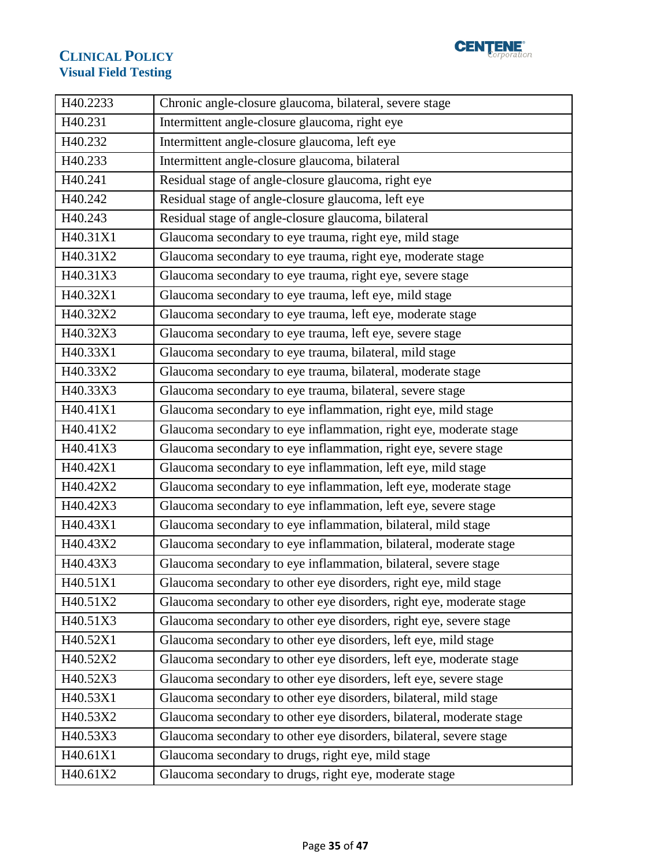

| H40.2233 | Chronic angle-closure glaucoma, bilateral, severe stage              |
|----------|----------------------------------------------------------------------|
| H40.231  | Intermittent angle-closure glaucoma, right eye                       |
| H40.232  | Intermittent angle-closure glaucoma, left eye                        |
| H40.233  | Intermittent angle-closure glaucoma, bilateral                       |
| H40.241  | Residual stage of angle-closure glaucoma, right eye                  |
| H40.242  | Residual stage of angle-closure glaucoma, left eye                   |
| H40.243  | Residual stage of angle-closure glaucoma, bilateral                  |
| H40.31X1 | Glaucoma secondary to eye trauma, right eye, mild stage              |
| H40.31X2 | Glaucoma secondary to eye trauma, right eye, moderate stage          |
| H40.31X3 | Glaucoma secondary to eye trauma, right eye, severe stage            |
| H40.32X1 | Glaucoma secondary to eye trauma, left eye, mild stage               |
| H40.32X2 | Glaucoma secondary to eye trauma, left eye, moderate stage           |
| H40.32X3 | Glaucoma secondary to eye trauma, left eye, severe stage             |
| H40.33X1 | Glaucoma secondary to eye trauma, bilateral, mild stage              |
| H40.33X2 | Glaucoma secondary to eye trauma, bilateral, moderate stage          |
| H40.33X3 | Glaucoma secondary to eye trauma, bilateral, severe stage            |
| H40.41X1 | Glaucoma secondary to eye inflammation, right eye, mild stage        |
| H40.41X2 | Glaucoma secondary to eye inflammation, right eye, moderate stage    |
| H40.41X3 | Glaucoma secondary to eye inflammation, right eye, severe stage      |
| H40.42X1 | Glaucoma secondary to eye inflammation, left eye, mild stage         |
| H40.42X2 | Glaucoma secondary to eye inflammation, left eye, moderate stage     |
| H40.42X3 | Glaucoma secondary to eye inflammation, left eye, severe stage       |
| H40.43X1 | Glaucoma secondary to eye inflammation, bilateral, mild stage        |
| H40.43X2 | Glaucoma secondary to eye inflammation, bilateral, moderate stage    |
| H40.43X3 | Glaucoma secondary to eye inflammation, bilateral, severe stage      |
| H40.51X1 | Glaucoma secondary to other eye disorders, right eye, mild stage     |
| H40.51X2 | Glaucoma secondary to other eye disorders, right eye, moderate stage |
| H40.51X3 | Glaucoma secondary to other eye disorders, right eye, severe stage   |
| H40.52X1 | Glaucoma secondary to other eye disorders, left eye, mild stage      |
| H40.52X2 | Glaucoma secondary to other eye disorders, left eye, moderate stage  |
| H40.52X3 | Glaucoma secondary to other eye disorders, left eye, severe stage    |
| H40.53X1 | Glaucoma secondary to other eye disorders, bilateral, mild stage     |
| H40.53X2 | Glaucoma secondary to other eye disorders, bilateral, moderate stage |
| H40.53X3 | Glaucoma secondary to other eye disorders, bilateral, severe stage   |
| H40.61X1 | Glaucoma secondary to drugs, right eye, mild stage                   |
| H40.61X2 | Glaucoma secondary to drugs, right eye, moderate stage               |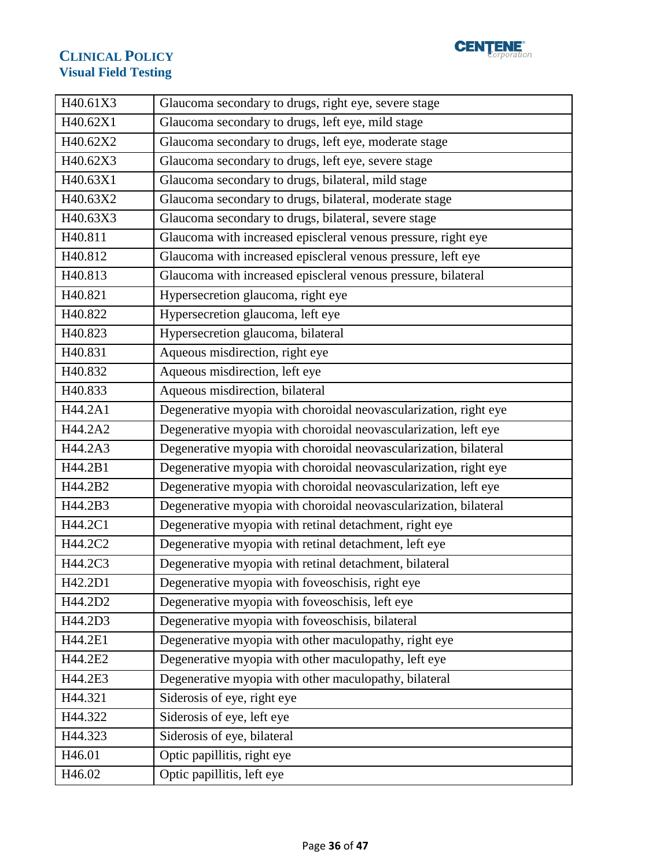

| H40.61X3 | Glaucoma secondary to drugs, right eye, severe stage             |
|----------|------------------------------------------------------------------|
| H40.62X1 | Glaucoma secondary to drugs, left eye, mild stage                |
| H40.62X2 | Glaucoma secondary to drugs, left eye, moderate stage            |
| H40.62X3 | Glaucoma secondary to drugs, left eye, severe stage              |
| H40.63X1 | Glaucoma secondary to drugs, bilateral, mild stage               |
| H40.63X2 | Glaucoma secondary to drugs, bilateral, moderate stage           |
| H40.63X3 | Glaucoma secondary to drugs, bilateral, severe stage             |
| H40.811  | Glaucoma with increased episcleral venous pressure, right eye    |
| H40.812  | Glaucoma with increased episcleral venous pressure, left eye     |
| H40.813  | Glaucoma with increased episcleral venous pressure, bilateral    |
| H40.821  | Hypersecretion glaucoma, right eye                               |
| H40.822  | Hypersecretion glaucoma, left eye                                |
| H40.823  | Hypersecretion glaucoma, bilateral                               |
| H40.831  | Aqueous misdirection, right eye                                  |
| H40.832  | Aqueous misdirection, left eye                                   |
| H40.833  | Aqueous misdirection, bilateral                                  |
| H44.2A1  | Degenerative myopia with choroidal neovascularization, right eye |
| H44.2A2  | Degenerative myopia with choroidal neovascularization, left eye  |
| H44.2A3  | Degenerative myopia with choroidal neovascularization, bilateral |
| H44.2B1  | Degenerative myopia with choroidal neovascularization, right eye |
| H44.2B2  | Degenerative myopia with choroidal neovascularization, left eye  |
| H44.2B3  | Degenerative myopia with choroidal neovascularization, bilateral |
| H44.2C1  | Degenerative myopia with retinal detachment, right eye           |
| H44.2C2  | Degenerative myopia with retinal detachment, left eye            |
| H44.2C3  | Degenerative myopia with retinal detachment, bilateral           |
| H42.2D1  | Degenerative myopia with foveoschisis, right eye                 |
| H44.2D2  | Degenerative myopia with foveoschisis, left eye                  |
| H44.2D3  | Degenerative myopia with foveoschisis, bilateral                 |
| H44.2E1  | Degenerative myopia with other maculopathy, right eye            |
| H44.2E2  | Degenerative myopia with other maculopathy, left eye             |
| H44.2E3  | Degenerative myopia with other maculopathy, bilateral            |
| H44.321  | Siderosis of eye, right eye                                      |
| H44.322  | Siderosis of eye, left eye                                       |
| H44.323  | Siderosis of eye, bilateral                                      |
| H46.01   | Optic papillitis, right eye                                      |
| H46.02   | Optic papillitis, left eye                                       |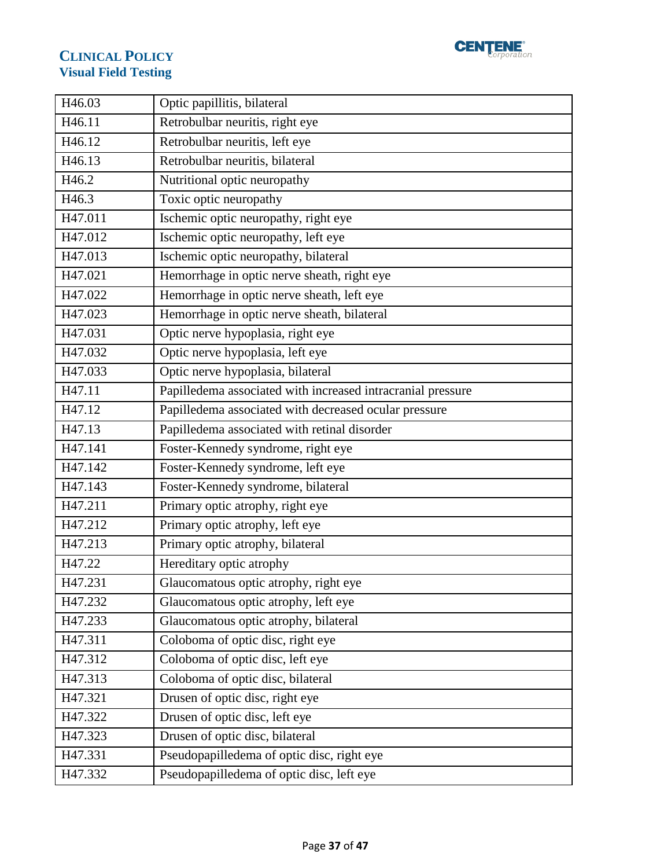

| H46.03  | Optic papillitis, bilateral                                 |
|---------|-------------------------------------------------------------|
| H46.11  | Retrobulbar neuritis, right eye                             |
| H46.12  | Retrobulbar neuritis, left eye                              |
| H46.13  | Retrobulbar neuritis, bilateral                             |
| H46.2   | Nutritional optic neuropathy                                |
| H46.3   | Toxic optic neuropathy                                      |
| H47.011 | Ischemic optic neuropathy, right eye                        |
| H47.012 | Ischemic optic neuropathy, left eye                         |
| H47.013 | Ischemic optic neuropathy, bilateral                        |
| H47.021 | Hemorrhage in optic nerve sheath, right eye                 |
| H47.022 | Hemorrhage in optic nerve sheath, left eye                  |
| H47.023 | Hemorrhage in optic nerve sheath, bilateral                 |
| H47.031 | Optic nerve hypoplasia, right eye                           |
| H47.032 | Optic nerve hypoplasia, left eye                            |
| H47.033 | Optic nerve hypoplasia, bilateral                           |
| H47.11  | Papilledema associated with increased intracranial pressure |
| H47.12  | Papilledema associated with decreased ocular pressure       |
| H47.13  | Papilledema associated with retinal disorder                |
| H47.141 | Foster-Kennedy syndrome, right eye                          |
| H47.142 | Foster-Kennedy syndrome, left eye                           |
| H47.143 | Foster-Kennedy syndrome, bilateral                          |
| H47.211 | Primary optic atrophy, right eye                            |
| H47.212 | Primary optic atrophy, left eye                             |
| H47.213 | Primary optic atrophy, bilateral                            |
| H47.22  | Hereditary optic atrophy                                    |
| H47.231 | Glaucomatous optic atrophy, right eye                       |
| H47.232 | Glaucomatous optic atrophy, left eye                        |
| H47.233 | Glaucomatous optic atrophy, bilateral                       |
| H47.311 | Coloboma of optic disc, right eye                           |
| H47.312 | Coloboma of optic disc, left eye                            |
| H47.313 | Coloboma of optic disc, bilateral                           |
| H47.321 | Drusen of optic disc, right eye                             |
| H47.322 | Drusen of optic disc, left eye                              |
| H47.323 | Drusen of optic disc, bilateral                             |
| H47.331 | Pseudopapilledema of optic disc, right eye                  |
| H47.332 | Pseudopapilledema of optic disc, left eye                   |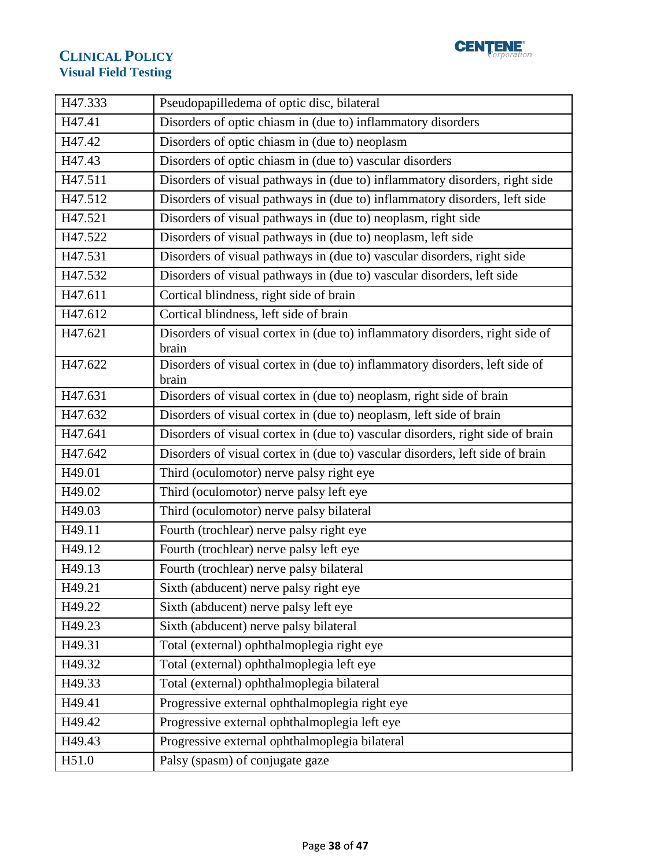

| H47.333 | Pseudopapilledema of optic disc, bilateral                                            |  |
|---------|---------------------------------------------------------------------------------------|--|
| H47.41  | Disorders of optic chiasm in (due to) inflammatory disorders                          |  |
| H47.42  | Disorders of optic chiasm in (due to) neoplasm                                        |  |
| H47.43  | Disorders of optic chiasm in (due to) vascular disorders                              |  |
| H47.511 | Disorders of visual pathways in (due to) inflammatory disorders, right side           |  |
| H47.512 | Disorders of visual pathways in (due to) inflammatory disorders, left side            |  |
| H47.521 | Disorders of visual pathways in (due to) neoplasm, right side                         |  |
| H47.522 | Disorders of visual pathways in (due to) neoplasm, left side                          |  |
| H47.531 | Disorders of visual pathways in (due to) vascular disorders, right side               |  |
| H47.532 | Disorders of visual pathways in (due to) vascular disorders, left side                |  |
| H47.611 | Cortical blindness, right side of brain                                               |  |
| H47.612 | Cortical blindness, left side of brain                                                |  |
| H47.621 | Disorders of visual cortex in (due to) inflammatory disorders, right side of<br>brain |  |
| H47.622 | Disorders of visual cortex in (due to) inflammatory disorders, left side of<br>brain  |  |
| H47.631 | Disorders of visual cortex in (due to) neoplasm, right side of brain                  |  |
| H47.632 | Disorders of visual cortex in (due to) neoplasm, left side of brain                   |  |
| H47.641 | Disorders of visual cortex in (due to) vascular disorders, right side of brain        |  |
| H47.642 | Disorders of visual cortex in (due to) vascular disorders, left side of brain         |  |
| H49.01  | Third (oculomotor) nerve palsy right eye                                              |  |
| H49.02  | Third (oculomotor) nerve palsy left eye                                               |  |
| H49.03  | Third (oculomotor) nerve palsy bilateral                                              |  |
| H49.11  | Fourth (trochlear) nerve palsy right eye                                              |  |
| H49.12  | Fourth (trochlear) nerve palsy left eye                                               |  |
| H49.13  | Fourth (trochlear) nerve palsy bilateral                                              |  |
| H49.21  | Sixth (abducent) nerve palsy right eye                                                |  |
| H49.22  | Sixth (abducent) nerve palsy left eye                                                 |  |
| H49.23  | Sixth (abducent) nerve palsy bilateral                                                |  |
| H49.31  | Total (external) ophthalmoplegia right eye                                            |  |
| H49.32  | Total (external) ophthalmoplegia left eye                                             |  |
| H49.33  | Total (external) ophthalmoplegia bilateral                                            |  |
| H49.41  | Progressive external ophthalmoplegia right eye                                        |  |
| H49.42  | Progressive external ophthalmoplegia left eye                                         |  |
| H49.43  | Progressive external ophthalmoplegia bilateral                                        |  |
| H51.0   | Palsy (spasm) of conjugate gaze                                                       |  |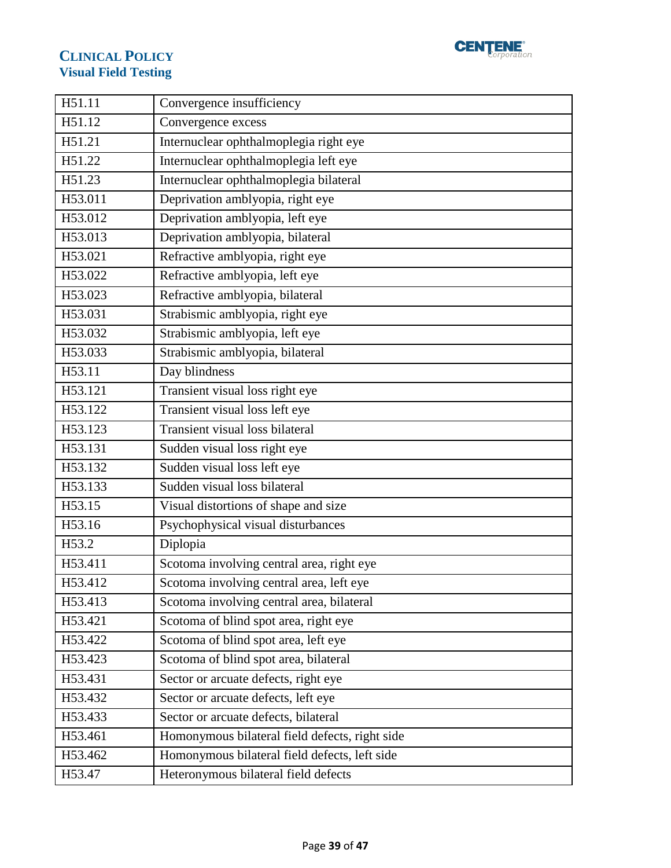

| H51.11  | Convergence insufficiency                      |
|---------|------------------------------------------------|
| H51.12  | Convergence excess                             |
| H51.21  | Internuclear ophthalmoplegia right eye         |
| H51.22  | Internuclear ophthalmoplegia left eye          |
| H51.23  | Internuclear ophthalmoplegia bilateral         |
| H53.011 | Deprivation amblyopia, right eye               |
| H53.012 | Deprivation amblyopia, left eye                |
| H53.013 | Deprivation amblyopia, bilateral               |
| H53.021 | Refractive amblyopia, right eye                |
| H53.022 | Refractive amblyopia, left eye                 |
| H53.023 | Refractive amblyopia, bilateral                |
| H53.031 | Strabismic amblyopia, right eye                |
| H53.032 | Strabismic amblyopia, left eye                 |
| H53.033 | Strabismic amblyopia, bilateral                |
| H53.11  | Day blindness                                  |
| H53.121 | Transient visual loss right eye                |
| H53.122 | Transient visual loss left eye                 |
| H53.123 | Transient visual loss bilateral                |
| H53.131 | Sudden visual loss right eye                   |
| H53.132 | Sudden visual loss left eye                    |
| H53.133 | Sudden visual loss bilateral                   |
| H53.15  | Visual distortions of shape and size           |
| H53.16  | Psychophysical visual disturbances             |
| H53.2   | Diplopia                                       |
| H53.411 | Scotoma involving central area, right eye      |
| H53.412 | Scotoma involving central area, left eye       |
| H53.413 | Scotoma involving central area, bilateral      |
| H53.421 | Scotoma of blind spot area, right eye          |
| H53.422 | Scotoma of blind spot area, left eye           |
| H53.423 | Scotoma of blind spot area, bilateral          |
| H53.431 | Sector or arcuate defects, right eye           |
| H53.432 | Sector or arcuate defects, left eye            |
| H53.433 | Sector or arcuate defects, bilateral           |
| H53.461 | Homonymous bilateral field defects, right side |
| H53.462 | Homonymous bilateral field defects, left side  |
| H53.47  | Heteronymous bilateral field defects           |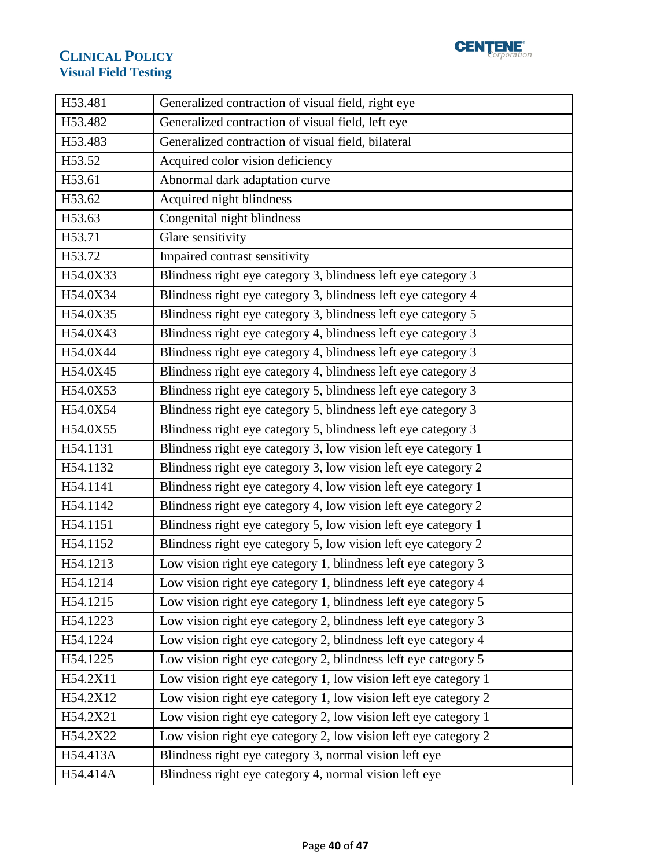

| H53.481  | Generalized contraction of visual field, right eye              |  |
|----------|-----------------------------------------------------------------|--|
| H53.482  | Generalized contraction of visual field, left eye               |  |
| H53.483  | Generalized contraction of visual field, bilateral              |  |
| H53.52   | Acquired color vision deficiency                                |  |
| H53.61   | Abnormal dark adaptation curve                                  |  |
| H53.62   | Acquired night blindness                                        |  |
| H53.63   | Congenital night blindness                                      |  |
| H53.71   | Glare sensitivity                                               |  |
| H53.72   | Impaired contrast sensitivity                                   |  |
| H54.0X33 | Blindness right eye category 3, blindness left eye category 3   |  |
| H54.0X34 | Blindness right eye category 3, blindness left eye category 4   |  |
| H54.0X35 | Blindness right eye category 3, blindness left eye category 5   |  |
| H54.0X43 | Blindness right eye category 4, blindness left eye category 3   |  |
| H54.0X44 | Blindness right eye category 4, blindness left eye category 3   |  |
| H54.0X45 | Blindness right eye category 4, blindness left eye category 3   |  |
| H54.0X53 | Blindness right eye category 5, blindness left eye category 3   |  |
| H54.0X54 | Blindness right eye category 5, blindness left eye category 3   |  |
| H54.0X55 | Blindness right eye category 5, blindness left eye category 3   |  |
| H54.1131 | Blindness right eye category 3, low vision left eye category 1  |  |
| H54.1132 | Blindness right eye category 3, low vision left eye category 2  |  |
| H54.1141 | Blindness right eye category 4, low vision left eye category 1  |  |
| H54.1142 | Blindness right eye category 4, low vision left eye category 2  |  |
| H54.1151 | Blindness right eye category 5, low vision left eye category 1  |  |
| H54.1152 | Blindness right eye category 5, low vision left eye category 2  |  |
| H54.1213 | Low vision right eye category 1, blindness left eye category 3  |  |
| H54.1214 | Low vision right eye category 1, blindness left eye category 4  |  |
| H54.1215 | Low vision right eye category 1, blindness left eye category 5  |  |
| H54.1223 | Low vision right eye category 2, blindness left eye category 3  |  |
| H54.1224 | Low vision right eye category 2, blindness left eye category 4  |  |
| H54.1225 | Low vision right eye category 2, blindness left eye category 5  |  |
| H54.2X11 | Low vision right eye category 1, low vision left eye category 1 |  |
| H54.2X12 | Low vision right eye category 1, low vision left eye category 2 |  |
| H54.2X21 | Low vision right eye category 2, low vision left eye category 1 |  |
| H54.2X22 | Low vision right eye category 2, low vision left eye category 2 |  |
| H54.413A | Blindness right eye category 3, normal vision left eye          |  |
| H54.414A | Blindness right eye category 4, normal vision left eye          |  |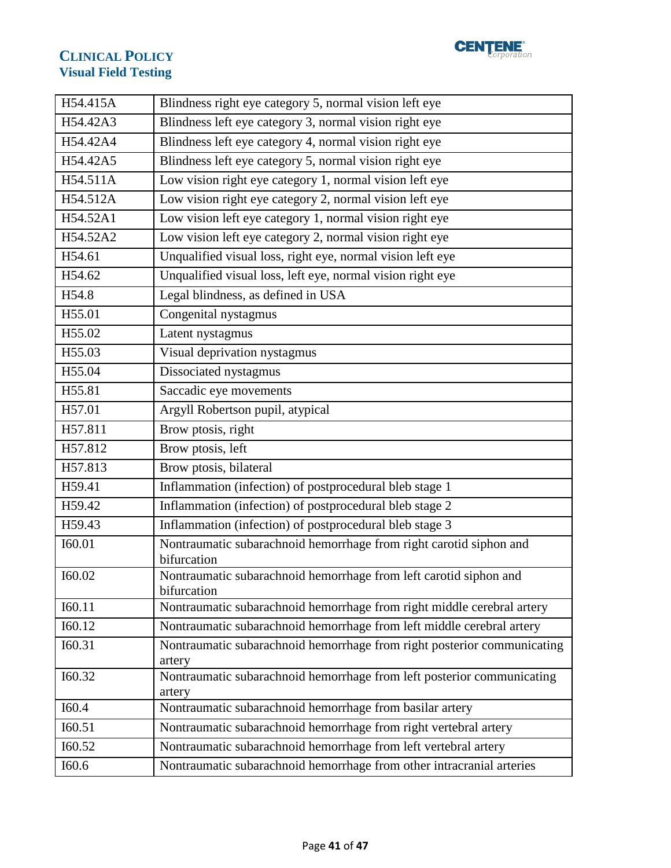

| H54.415A | Blindness right eye category 5, normal vision left eye                            |  |  |
|----------|-----------------------------------------------------------------------------------|--|--|
| H54.42A3 | Blindness left eye category 3, normal vision right eye                            |  |  |
| H54.42A4 | Blindness left eye category 4, normal vision right eye                            |  |  |
| H54.42A5 | Blindness left eye category 5, normal vision right eye                            |  |  |
| H54.511A | Low vision right eye category 1, normal vision left eye                           |  |  |
| H54.512A | Low vision right eye category 2, normal vision left eye                           |  |  |
| H54.52A1 | Low vision left eye category 1, normal vision right eye                           |  |  |
| H54.52A2 | Low vision left eye category 2, normal vision right eye                           |  |  |
| H54.61   | Unqualified visual loss, right eye, normal vision left eye                        |  |  |
| H54.62   | Unqualified visual loss, left eye, normal vision right eye                        |  |  |
| H54.8    | Legal blindness, as defined in USA                                                |  |  |
| H55.01   | Congenital nystagmus                                                              |  |  |
| H55.02   | Latent nystagmus                                                                  |  |  |
| H55.03   | Visual deprivation nystagmus                                                      |  |  |
| H55.04   | Dissociated nystagmus                                                             |  |  |
| H55.81   | Saccadic eye movements                                                            |  |  |
| H57.01   | Argyll Robertson pupil, atypical                                                  |  |  |
| H57.811  | Brow ptosis, right                                                                |  |  |
| H57.812  | Brow ptosis, left                                                                 |  |  |
| H57.813  | Brow ptosis, bilateral                                                            |  |  |
| H59.41   | Inflammation (infection) of postprocedural bleb stage 1                           |  |  |
| H59.42   | Inflammation (infection) of postprocedural bleb stage 2                           |  |  |
| H59.43   | Inflammation (infection) of postprocedural bleb stage 3                           |  |  |
| I60.01   | Nontraumatic subarachnoid hemorrhage from right carotid siphon and<br>bifurcation |  |  |
| I60.02   | Nontraumatic subarachnoid hemorrhage from left carotid siphon and<br>bifurcation  |  |  |
| I60.11   | Nontraumatic subarachnoid hemorrhage from right middle cerebral artery            |  |  |
| I60.12   | Nontraumatic subarachnoid hemorrhage from left middle cerebral artery             |  |  |
| I60.31   | Nontraumatic subarachnoid hemorrhage from right posterior communicating<br>artery |  |  |
| I60.32   | Nontraumatic subarachnoid hemorrhage from left posterior communicating<br>artery  |  |  |
| I60.4    | Nontraumatic subarachnoid hemorrhage from basilar artery                          |  |  |
| I60.51   | Nontraumatic subarachnoid hemorrhage from right vertebral artery                  |  |  |
| I60.52   | Nontraumatic subarachnoid hemorrhage from left vertebral artery                   |  |  |
| I60.6    | Nontraumatic subarachnoid hemorrhage from other intracranial arteries             |  |  |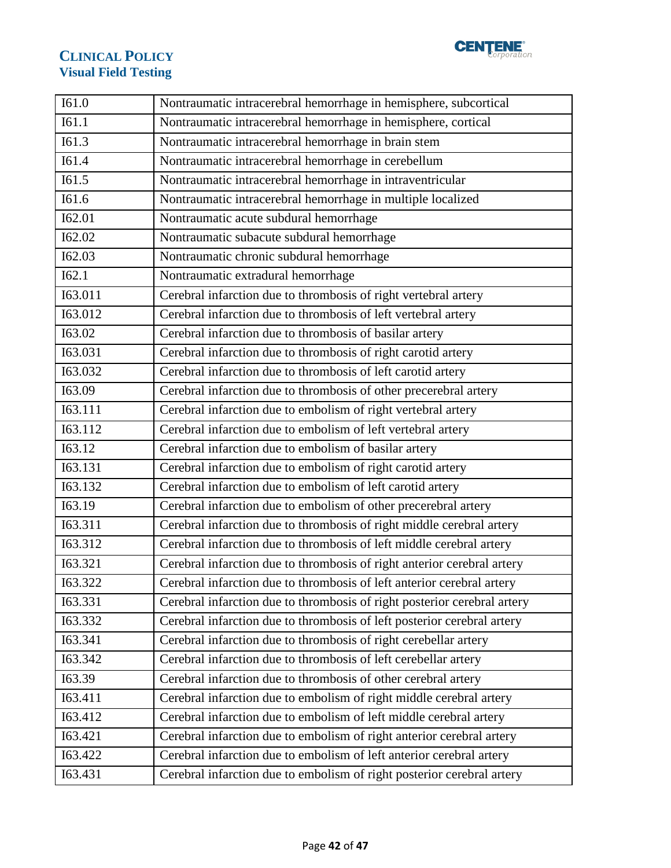

| I61.0   | Nontraumatic intracerebral hemorrhage in hemisphere, subcortical         |  |
|---------|--------------------------------------------------------------------------|--|
| I61.1   | Nontraumatic intracerebral hemorrhage in hemisphere, cortical            |  |
| I61.3   | Nontraumatic intracerebral hemorrhage in brain stem                      |  |
| I61.4   | Nontraumatic intracerebral hemorrhage in cerebellum                      |  |
| I61.5   | Nontraumatic intracerebral hemorrhage in intraventricular                |  |
| I61.6   | Nontraumatic intracerebral hemorrhage in multiple localized              |  |
| I62.01  | Nontraumatic acute subdural hemorrhage                                   |  |
| I62.02  | Nontraumatic subacute subdural hemorrhage                                |  |
| I62.03  | Nontraumatic chronic subdural hemorrhage                                 |  |
| I62.1   | Nontraumatic extradural hemorrhage                                       |  |
| I63.011 | Cerebral infarction due to thrombosis of right vertebral artery          |  |
| I63.012 | Cerebral infarction due to thrombosis of left vertebral artery           |  |
| I63.02  | Cerebral infarction due to thrombosis of basilar artery                  |  |
| I63.031 | Cerebral infarction due to thrombosis of right carotid artery            |  |
| I63.032 | Cerebral infarction due to thrombosis of left carotid artery             |  |
| I63.09  | Cerebral infarction due to thrombosis of other precerebral artery        |  |
| I63.111 | Cerebral infarction due to embolism of right vertebral artery            |  |
| I63.112 | Cerebral infarction due to embolism of left vertebral artery             |  |
| I63.12  | Cerebral infarction due to embolism of basilar artery                    |  |
| I63.131 | Cerebral infarction due to embolism of right carotid artery              |  |
| I63.132 | Cerebral infarction due to embolism of left carotid artery               |  |
| I63.19  | Cerebral infarction due to embolism of other precerebral artery          |  |
| I63.311 | Cerebral infarction due to thrombosis of right middle cerebral artery    |  |
| 163.312 | Cerebral infarction due to thrombosis of left middle cerebral artery     |  |
| I63.321 | Cerebral infarction due to thrombosis of right anterior cerebral artery  |  |
| 163.322 | Cerebral infarction due to thrombosis of left anterior cerebral artery   |  |
| I63.331 | Cerebral infarction due to thrombosis of right posterior cerebral artery |  |
| I63.332 | Cerebral infarction due to thrombosis of left posterior cerebral artery  |  |
| I63.341 | Cerebral infarction due to thrombosis of right cerebellar artery         |  |
| 163.342 | Cerebral infarction due to thrombosis of left cerebellar artery          |  |
| I63.39  | Cerebral infarction due to thrombosis of other cerebral artery           |  |
| I63.411 | Cerebral infarction due to embolism of right middle cerebral artery      |  |
| I63.412 | Cerebral infarction due to embolism of left middle cerebral artery       |  |
| I63.421 | Cerebral infarction due to embolism of right anterior cerebral artery    |  |
| I63.422 | Cerebral infarction due to embolism of left anterior cerebral artery     |  |
| I63.431 | Cerebral infarction due to embolism of right posterior cerebral artery   |  |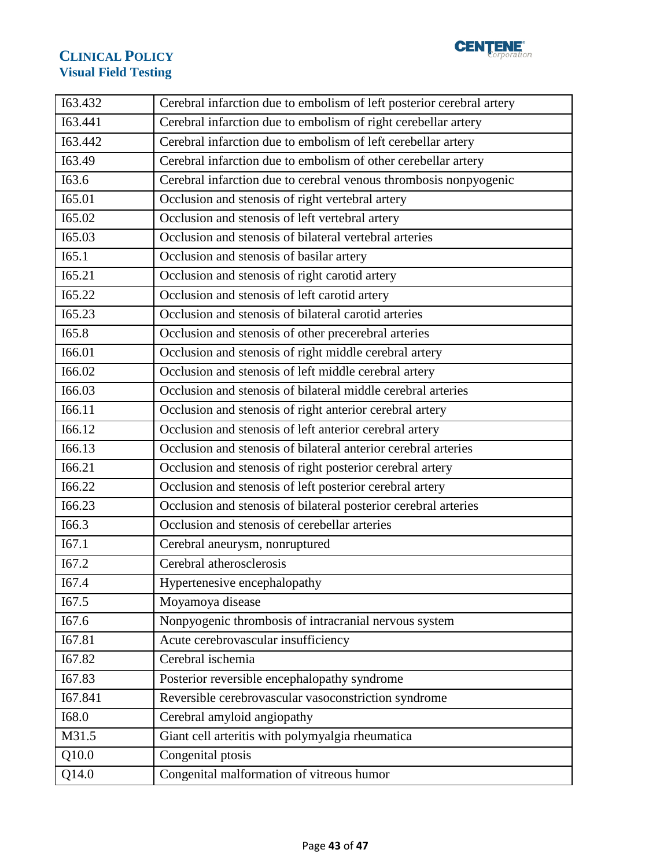

| 163.432 | Cerebral infarction due to embolism of left posterior cerebral artery |  |
|---------|-----------------------------------------------------------------------|--|
| I63.441 | Cerebral infarction due to embolism of right cerebellar artery        |  |
| 163.442 | Cerebral infarction due to embolism of left cerebellar artery         |  |
| I63.49  | Cerebral infarction due to embolism of other cerebellar artery        |  |
| I63.6   | Cerebral infarction due to cerebral venous thrombosis nonpyogenic     |  |
| I65.01  | Occlusion and stenosis of right vertebral artery                      |  |
| I65.02  | Occlusion and stenosis of left vertebral artery                       |  |
| I65.03  | Occlusion and stenosis of bilateral vertebral arteries                |  |
| I65.1   | Occlusion and stenosis of basilar artery                              |  |
| I65.21  | Occlusion and stenosis of right carotid artery                        |  |
| I65.22  | Occlusion and stenosis of left carotid artery                         |  |
| I65.23  | Occlusion and stenosis of bilateral carotid arteries                  |  |
| I65.8   | Occlusion and stenosis of other precerebral arteries                  |  |
| I66.01  | Occlusion and stenosis of right middle cerebral artery                |  |
| I66.02  | Occlusion and stenosis of left middle cerebral artery                 |  |
| I66.03  | Occlusion and stenosis of bilateral middle cerebral arteries          |  |
| I66.11  | Occlusion and stenosis of right anterior cerebral artery              |  |
| I66.12  | Occlusion and stenosis of left anterior cerebral artery               |  |
| I66.13  | Occlusion and stenosis of bilateral anterior cerebral arteries        |  |
| I66.21  | Occlusion and stenosis of right posterior cerebral artery             |  |
| I66.22  | Occlusion and stenosis of left posterior cerebral artery              |  |
| I66.23  | Occlusion and stenosis of bilateral posterior cerebral arteries       |  |
| I66.3   | Occlusion and stenosis of cerebellar arteries                         |  |
| I67.1   | Cerebral aneurysm, nonruptured                                        |  |
| I67.2   | Cerebral atherosclerosis                                              |  |
| I67.4   | Hypertenesive encephalopathy                                          |  |
| I67.5   | Moyamoya disease                                                      |  |
| I67.6   | Nonpyogenic thrombosis of intracranial nervous system                 |  |
| I67.81  | Acute cerebrovascular insufficiency                                   |  |
| I67.82  | Cerebral ischemia                                                     |  |
| I67.83  | Posterior reversible encephalopathy syndrome                          |  |
| I67.841 | Reversible cerebrovascular vasoconstriction syndrome                  |  |
| I68.0   | Cerebral amyloid angiopathy                                           |  |
| M31.5   | Giant cell arteritis with polymyalgia rheumatica                      |  |
| Q10.0   | Congenital ptosis                                                     |  |
| Q14.0   | Congenital malformation of vitreous humor                             |  |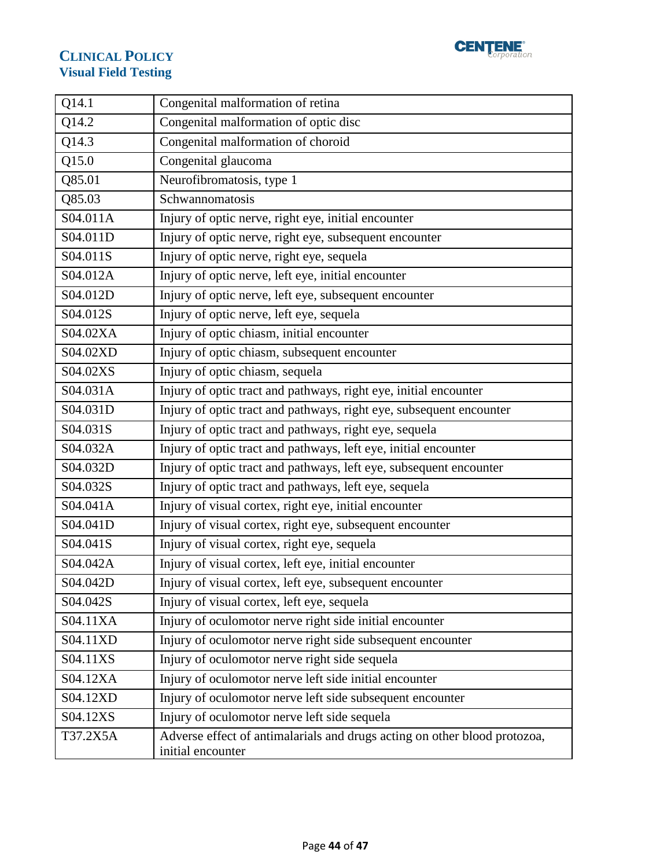

| $Q1\overline{4.1}$ | Congenital malformation of retina                                                              |  |  |
|--------------------|------------------------------------------------------------------------------------------------|--|--|
| Q14.2              | Congenital malformation of optic disc                                                          |  |  |
| Q14.3              | Congenital malformation of choroid                                                             |  |  |
| Q15.0              | Congenital glaucoma                                                                            |  |  |
| Q85.01             | Neurofibromatosis, type 1                                                                      |  |  |
| Q85.03             | Schwannomatosis                                                                                |  |  |
| S04.011A           | Injury of optic nerve, right eye, initial encounter                                            |  |  |
| S04.011D           | Injury of optic nerve, right eye, subsequent encounter                                         |  |  |
| S04.011S           | Injury of optic nerve, right eye, sequela                                                      |  |  |
| S04.012A           | Injury of optic nerve, left eye, initial encounter                                             |  |  |
| S04.012D           | Injury of optic nerve, left eye, subsequent encounter                                          |  |  |
| S04.012S           | Injury of optic nerve, left eye, sequela                                                       |  |  |
| S04.02XA           | Injury of optic chiasm, initial encounter                                                      |  |  |
| S04.02XD           | Injury of optic chiasm, subsequent encounter                                                   |  |  |
| S04.02XS           | Injury of optic chiasm, sequela                                                                |  |  |
| S04.031A           | Injury of optic tract and pathways, right eye, initial encounter                               |  |  |
| S04.031D           | Injury of optic tract and pathways, right eye, subsequent encounter                            |  |  |
| S04.031S           | Injury of optic tract and pathways, right eye, sequela                                         |  |  |
| S04.032A           | Injury of optic tract and pathways, left eye, initial encounter                                |  |  |
| S04.032D           | Injury of optic tract and pathways, left eye, subsequent encounter                             |  |  |
| S04.032S           | Injury of optic tract and pathways, left eye, sequela                                          |  |  |
| S04.041A           | Injury of visual cortex, right eye, initial encounter                                          |  |  |
| S04.041D           | Injury of visual cortex, right eye, subsequent encounter                                       |  |  |
| S04.041S           | Injury of visual cortex, right eye, sequela                                                    |  |  |
| S04.042A           | Injury of visual cortex, left eye, initial encounter                                           |  |  |
| S04.042D           | Injury of visual cortex, left eye, subsequent encounter                                        |  |  |
| S04.042S           | Injury of visual cortex, left eye, sequela                                                     |  |  |
| S04.11XA           | Injury of oculomotor nerve right side initial encounter                                        |  |  |
| S04.11XD           | Injury of oculomotor nerve right side subsequent encounter                                     |  |  |
| S04.11XS           | Injury of oculomotor nerve right side sequela                                                  |  |  |
| S04.12XA           | Injury of oculomotor nerve left side initial encounter                                         |  |  |
| S04.12XD           | Injury of oculomotor nerve left side subsequent encounter                                      |  |  |
| S04.12XS           | Injury of oculomotor nerve left side sequela                                                   |  |  |
| T37.2X5A           | Adverse effect of antimalarials and drugs acting on other blood protozoa,<br>initial encounter |  |  |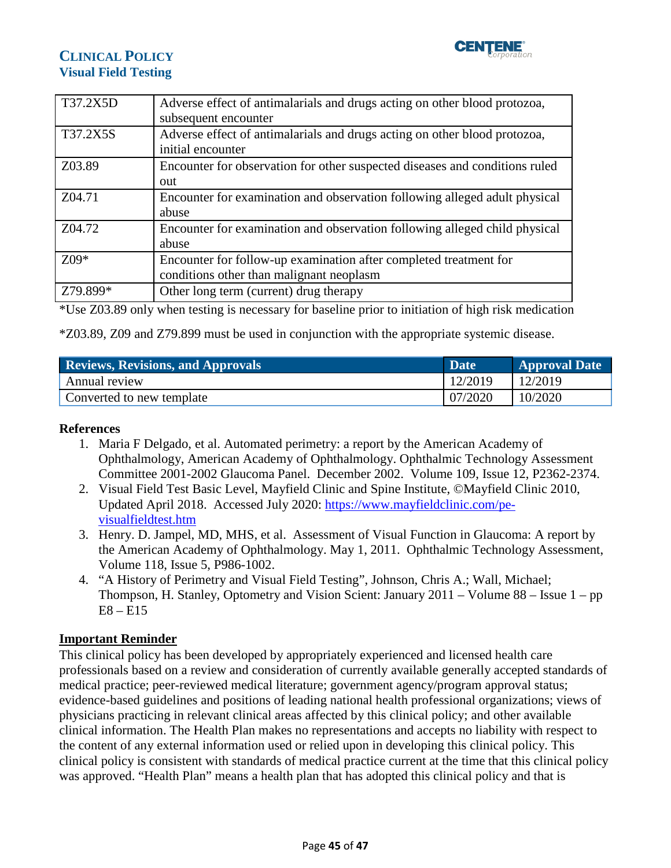

| T37.2X5D | Adverse effect of antimalarials and drugs acting on other blood protozoa,<br>subsequent encounter             |
|----------|---------------------------------------------------------------------------------------------------------------|
| T37.2X5S | Adverse effect of antimalarials and drugs acting on other blood protozoa,<br>initial encounter                |
| Z03.89   | Encounter for observation for other suspected diseases and conditions ruled<br>out                            |
| Z04.71   | Encounter for examination and observation following alleged adult physical<br>abuse                           |
| Z04.72   | Encounter for examination and observation following alleged child physical<br>abuse                           |
| $Z$ 09*  | Encounter for follow-up examination after completed treatment for<br>conditions other than malignant neoplasm |
| Z79.899* | Other long term (current) drug therapy                                                                        |

\*Use Z03.89 only when testing is necessary for baseline prior to initiation of high risk medication

\*Z03.89, Z09 and Z79.899 must be used in conjunction with the appropriate systemic disease.

<span id="page-44-0"></span>

| <b>Reviews, Revisions, and Approvals</b> | Date    | <b>Approval Date</b> |
|------------------------------------------|---------|----------------------|
| Annual review                            | 12/2019 | 12/2019              |
| Converted to new template                | 07/2020 | 10/2020              |

#### **References**

- 1. Maria F Delgado, et al. Automated perimetry: a report by the American Academy of Ophthalmology, American Academy of Ophthalmology. Ophthalmic Technology Assessment Committee 2001-2002 Glaucoma Panel. December 2002. Volume 109, Issue 12, P2362-2374.
- 2. Visual Field Test Basic Level, Mayfield Clinic and Spine Institute, ©Mayfield Clinic 2010, Updated April 2018. Accessed July 2020: [https://www.mayfieldclinic.com/pe](https://www.mayfieldclinic.com/pe-visualfieldtest.htm)[visualfieldtest.htm](https://www.mayfieldclinic.com/pe-visualfieldtest.htm)
- 3. Henry. D. Jampel, MD, MHS, et al. Assessment of Visual Function in Glaucoma: A report by the American Academy of Ophthalmology. May 1, 2011. Ophthalmic Technology Assessment, Volume 118, Issue 5, P986-1002.
- 4. "A History of Perimetry and Visual Field Testing", Johnson, Chris A.; Wall, Michael; Thompson, H. Stanley, Optometry and Vision Scient: January 2011 – Volume 88 – Issue 1 – pp E8 – E15

#### <span id="page-44-1"></span>**Important Reminder**

This clinical policy has been developed by appropriately experienced and licensed health care professionals based on a review and consideration of currently available generally accepted standards of medical practice; peer-reviewed medical literature; government agency/program approval status; evidence-based guidelines and positions of leading national health professional organizations; views of physicians practicing in relevant clinical areas affected by this clinical policy; and other available clinical information. The Health Plan makes no representations and accepts no liability with respect to the content of any external information used or relied upon in developing this clinical policy. This clinical policy is consistent with standards of medical practice current at the time that this clinical policy was approved. "Health Plan" means a health plan that has adopted this clinical policy and that is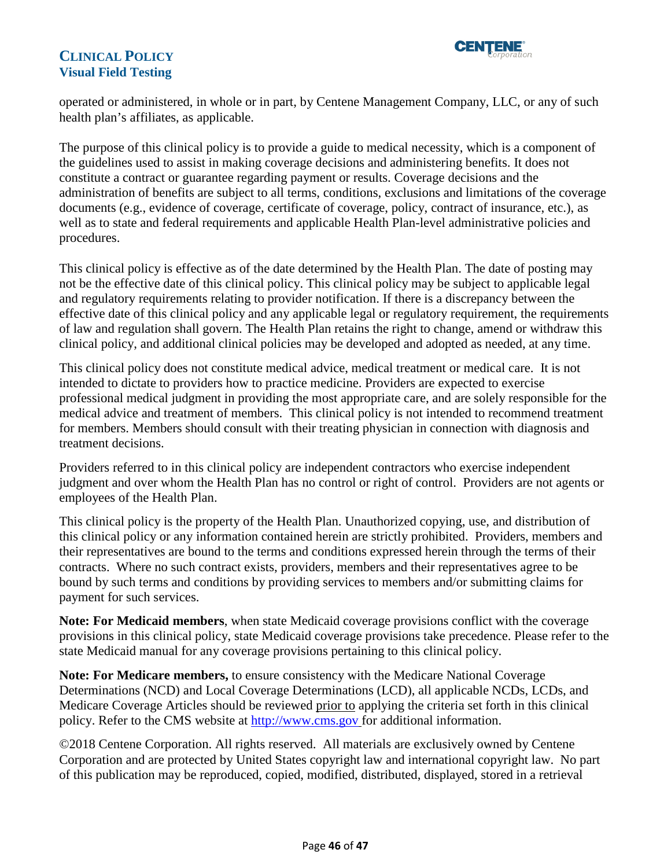

operated or administered, in whole or in part, by Centene Management Company, LLC, or any of such health plan's affiliates, as applicable.

The purpose of this clinical policy is to provide a guide to medical necessity, which is a component of the guidelines used to assist in making coverage decisions and administering benefits. It does not constitute a contract or guarantee regarding payment or results. Coverage decisions and the administration of benefits are subject to all terms, conditions, exclusions and limitations of the coverage documents (e.g., evidence of coverage, certificate of coverage, policy, contract of insurance, etc.), as well as to state and federal requirements and applicable Health Plan-level administrative policies and procedures.

This clinical policy is effective as of the date determined by the Health Plan. The date of posting may not be the effective date of this clinical policy. This clinical policy may be subject to applicable legal and regulatory requirements relating to provider notification. If there is a discrepancy between the effective date of this clinical policy and any applicable legal or regulatory requirement, the requirements of law and regulation shall govern. The Health Plan retains the right to change, amend or withdraw this clinical policy, and additional clinical policies may be developed and adopted as needed, at any time.

This clinical policy does not constitute medical advice, medical treatment or medical care. It is not intended to dictate to providers how to practice medicine. Providers are expected to exercise professional medical judgment in providing the most appropriate care, and are solely responsible for the medical advice and treatment of members. This clinical policy is not intended to recommend treatment for members. Members should consult with their treating physician in connection with diagnosis and treatment decisions.

Providers referred to in this clinical policy are independent contractors who exercise independent judgment and over whom the Health Plan has no control or right of control. Providers are not agents or employees of the Health Plan.

This clinical policy is the property of the Health Plan. Unauthorized copying, use, and distribution of this clinical policy or any information contained herein are strictly prohibited. Providers, members and their representatives are bound to the terms and conditions expressed herein through the terms of their contracts. Where no such contract exists, providers, members and their representatives agree to be bound by such terms and conditions by providing services to members and/or submitting claims for payment for such services.

**Note: For Medicaid members**, when state Medicaid coverage provisions conflict with the coverage provisions in this clinical policy, state Medicaid coverage provisions take precedence. Please refer to the state Medicaid manual for any coverage provisions pertaining to this clinical policy.

**Note: For Medicare members,** to ensure consistency with the Medicare National Coverage Determinations (NCD) and Local Coverage Determinations (LCD), all applicable NCDs, LCDs, and Medicare Coverage Articles should be reviewed prior to applying the criteria set forth in this clinical policy. Refer to the CMS website at [http://www.cms.gov](http://www.cms.gov/) for additional information.

©2018 Centene Corporation. All rights reserved. All materials are exclusively owned by Centene Corporation and are protected by United States copyright law and international copyright law. No part of this publication may be reproduced, copied, modified, distributed, displayed, stored in a retrieval